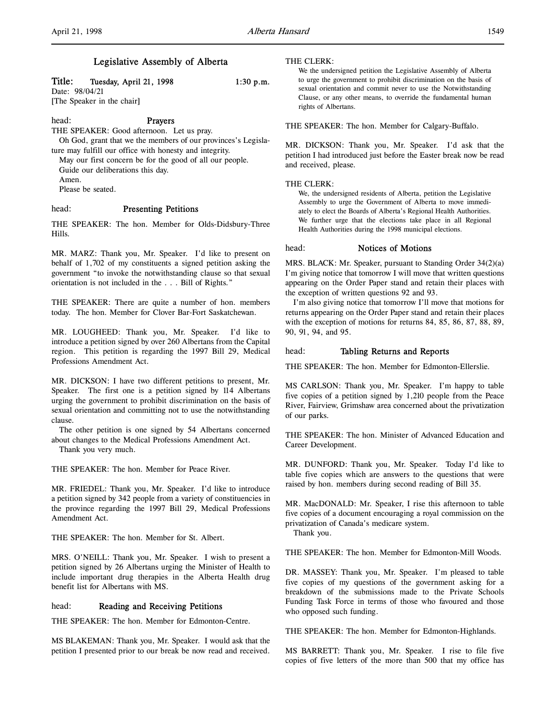# Legislative Assembly of Alberta

# Title: Tuesday, April 21, 1998 1:30 p.m.

Date: 98/04/21 [The Speaker in the chair]

#### head: Prayers

THE SPEAKER: Good afternoon. Let us pray.

Oh God, grant that we the members of our provinces's Legislature may fulfill our office with honesty and integrity.

May our first concern be for the good of all our people. Guide our deliberations this day. Amen.

Please be seated.

### head: Presenting Petitions

THE SPEAKER: The hon. Member for Olds-Didsbury-Three Hills.

MR. MARZ: Thank you, Mr. Speaker. I'd like to present on behalf of 1,702 of my constituents a signed petition asking the government "to invoke the notwithstanding clause so that sexual orientation is not included in the . . . Bill of Rights."

THE SPEAKER: There are quite a number of hon. members today. The hon. Member for Clover Bar-Fort Saskatchewan.

MR. LOUGHEED: Thank you, Mr. Speaker. I'd like to introduce a petition signed by over 260 Albertans from the Capital region. This petition is regarding the 1997 Bill 29, Medical Professions Amendment Act.

MR. DICKSON: I have two different petitions to present, Mr. Speaker. The first one is a petition signed by 114 Albertans urging the government to prohibit discrimination on the basis of sexual orientation and committing not to use the notwithstanding clause.

The other petition is one signed by 54 Albertans concerned about changes to the Medical Professions Amendment Act.

Thank you very much.

THE SPEAKER: The hon. Member for Peace River.

MR. FRIEDEL: Thank you, Mr. Speaker. I'd like to introduce a petition signed by 342 people from a variety of constituencies in the province regarding the 1997 Bill 29, Medical Professions Amendment Act.

THE SPEAKER: The hon. Member for St. Albert.

MRS. O'NEILL: Thank you, Mr. Speaker. I wish to present a petition signed by 26 Albertans urging the Minister of Health to include important drug therapies in the Alberta Health drug benefit list for Albertans with MS.

# head: Reading and Receiving Petitions

THE SPEAKER: The hon. Member for Edmonton-Centre.

MS BLAKEMAN: Thank you, Mr. Speaker. I would ask that the petition I presented prior to our break be now read and received.

#### THE CLERK:

We the undersigned petition the Legislative Assembly of Alberta to urge the government to prohibit discrimination on the basis of sexual orientation and commit never to use the Notwithstanding Clause, or any other means, to override the fundamental human rights of Albertans.

THE SPEAKER: The hon. Member for Calgary-Buffalo.

MR. DICKSON: Thank you, Mr. Speaker. I'd ask that the petition I had introduced just before the Easter break now be read and received, please.

#### THE CLERK:

We, the undersigned residents of Alberta, petition the Legislative Assembly to urge the Government of Alberta to move immediately to elect the Boards of Alberta's Regional Health Authorities. We further urge that the elections take place in all Regional Health Authorities during the 1998 municipal elections.

#### head: Notices of Motions

MRS. BLACK: Mr. Speaker, pursuant to Standing Order 34(2)(a) I'm giving notice that tomorrow I will move that written questions appearing on the Order Paper stand and retain their places with the exception of written questions 92 and 93.

I'm also giving notice that tomorrow I'll move that motions for returns appearing on the Order Paper stand and retain their places with the exception of motions for returns 84, 85, 86, 87, 88, 89, 90, 91, 94, and 95.

#### head: Tabling Returns and Reports

THE SPEAKER: The hon. Member for Edmonton-Ellerslie.

MS CARLSON: Thank you, Mr. Speaker. I'm happy to table five copies of a petition signed by 1,210 people from the Peace River, Fairview, Grimshaw area concerned about the privatization of our parks.

THE SPEAKER: The hon. Minister of Advanced Education and Career Development.

MR. DUNFORD: Thank you, Mr. Speaker. Today I'd like to table five copies which are answers to the questions that were raised by hon. members during second reading of Bill 35.

MR. MacDONALD: Mr. Speaker, I rise this afternoon to table five copies of a document encouraging a royal commission on the privatization of Canada's medicare system.

Thank you.

THE SPEAKER: The hon. Member for Edmonton-Mill Woods.

DR. MASSEY: Thank you, Mr. Speaker. I'm pleased to table five copies of my questions of the government asking for a breakdown of the submissions made to the Private Schools Funding Task Force in terms of those who favoured and those who opposed such funding.

THE SPEAKER: The hon. Member for Edmonton-Highlands.

MS BARRETT: Thank you, Mr. Speaker. I rise to file five copies of five letters of the more than 500 that my office has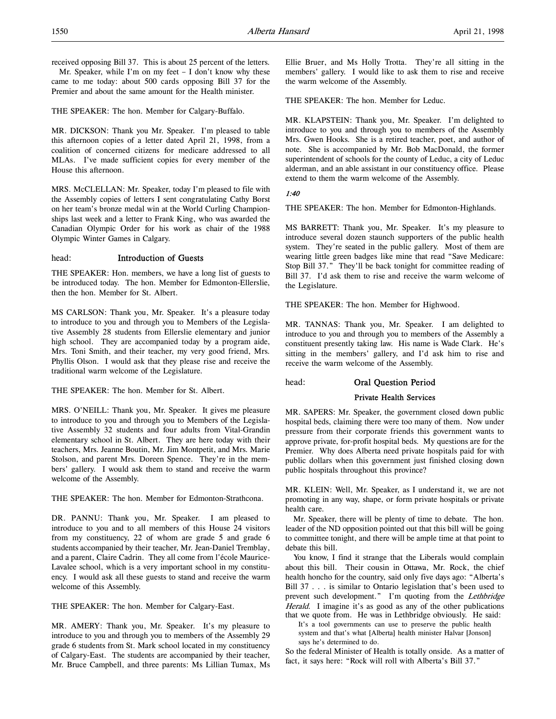THE SPEAKER: The hon. Member for Calgary-Buffalo.

MR. DICKSON: Thank you Mr. Speaker. I'm pleased to table this afternoon copies of a letter dated April 21, 1998, from a coalition of concerned citizens for medicare addressed to all MLAs. I've made sufficient copies for every member of the House this afternoon.

MRS. McCLELLAN: Mr. Speaker, today I'm pleased to file with the Assembly copies of letters I sent congratulating Cathy Borst on her team's bronze medal win at the World Curling Championships last week and a letter to Frank King, who was awarded the Canadian Olympic Order for his work as chair of the 1988 Olympic Winter Games in Calgary.

# head: Introduction of Guests

THE SPEAKER: Hon. members, we have a long list of guests to be introduced today. The hon. Member for Edmonton-Ellerslie, then the hon. Member for St. Albert.

MS CARLSON: Thank you, Mr. Speaker. It's a pleasure today to introduce to you and through you to Members of the Legislative Assembly 28 students from Ellerslie elementary and junior high school. They are accompanied today by a program aide, Mrs. Toni Smith, and their teacher, my very good friend, Mrs. Phyllis Olson. I would ask that they please rise and receive the traditional warm welcome of the Legislature.

THE SPEAKER: The hon. Member for St. Albert.

MRS. O'NEILL: Thank you, Mr. Speaker. It gives me pleasure to introduce to you and through you to Members of the Legislative Assembly 32 students and four adults from Vital-Grandin elementary school in St. Albert. They are here today with their teachers, Mrs. Jeanne Boutin, Mr. Jim Montpetit, and Mrs. Marie Stolson, and parent Mrs. Doreen Spence. They're in the members' gallery. I would ask them to stand and receive the warm welcome of the Assembly.

THE SPEAKER: The hon. Member for Edmonton-Strathcona.

DR. PANNU: Thank you, Mr. Speaker. I am pleased to introduce to you and to all members of this House 24 visitors from my constituency, 22 of whom are grade 5 and grade 6 students accompanied by their teacher, Mr. Jean-Daniel Tremblay, and a parent, Claire Cadrin. They all come from l'école Maurice-Lavalee school, which is a very important school in my constituency. I would ask all these guests to stand and receive the warm welcome of this Assembly.

THE SPEAKER: The hon. Member for Calgary-East.

MR. AMERY: Thank you, Mr. Speaker. It's my pleasure to introduce to you and through you to members of the Assembly 29 grade 6 students from St. Mark school located in my constituency of Calgary-East. The students are accompanied by their teacher, Mr. Bruce Campbell, and three parents: Ms Lillian Tumax, Ms

Ellie Bruer, and Ms Holly Trotta. They're all sitting in the members' gallery. I would like to ask them to rise and receive the warm welcome of the Assembly.

THE SPEAKER: The hon. Member for Leduc.

MR. KLAPSTEIN: Thank you, Mr. Speaker. I'm delighted to introduce to you and through you to members of the Assembly Mrs. Gwen Hooks. She is a retired teacher, poet, and author of note. She is accompanied by Mr. Bob MacDonald, the former superintendent of schools for the county of Leduc, a city of Leduc alderman, and an able assistant in our constituency office. Please extend to them the warm welcome of the Assembly.

# 1:40

THE SPEAKER: The hon. Member for Edmonton-Highlands.

MS BARRETT: Thank you, Mr. Speaker. It's my pleasure to introduce several dozen staunch supporters of the public health system. They're seated in the public gallery. Most of them are wearing little green badges like mine that read "Save Medicare: Stop Bill 37." They'll be back tonight for committee reading of Bill 37. I'd ask them to rise and receive the warm welcome of the Legislature.

THE SPEAKER: The hon. Member for Highwood.

MR. TANNAS: Thank you, Mr. Speaker. I am delighted to introduce to you and through you to members of the Assembly a constituent presently taking law. His name is Wade Clark. He's sitting in the members' gallery, and I'd ask him to rise and receive the warm welcome of the Assembly.

head: Oral Question Period

#### Private Health Services

MR. SAPERS: Mr. Speaker, the government closed down public hospital beds, claiming there were too many of them. Now under pressure from their corporate friends this government wants to approve private, for-profit hospital beds. My questions are for the Premier. Why does Alberta need private hospitals paid for with public dollars when this government just finished closing down public hospitals throughout this province?

MR. KLEIN: Well, Mr. Speaker, as I understand it, we are not promoting in any way, shape, or form private hospitals or private health care.

Mr. Speaker, there will be plenty of time to debate. The hon. leader of the ND opposition pointed out that this bill will be going to committee tonight, and there will be ample time at that point to debate this bill.

You know, I find it strange that the Liberals would complain about this bill. Their cousin in Ottawa, Mr. Rock, the chief health honcho for the country, said only five days ago: "Alberta's Bill 37 . . . is similar to Ontario legislation that's been used to prevent such development." I'm quoting from the Lethbridge Herald. I imagine it's as good as any of the other publications that we quote from. He was in Lethbridge obviously. He said:

It's a tool governments can use to preserve the public health system and that's what [Alberta] health minister Halvar [Jonson] says he's determined to do.

So the federal Minister of Health is totally onside. As a matter of fact, it says here: "Rock will roll with Alberta's Bill 37."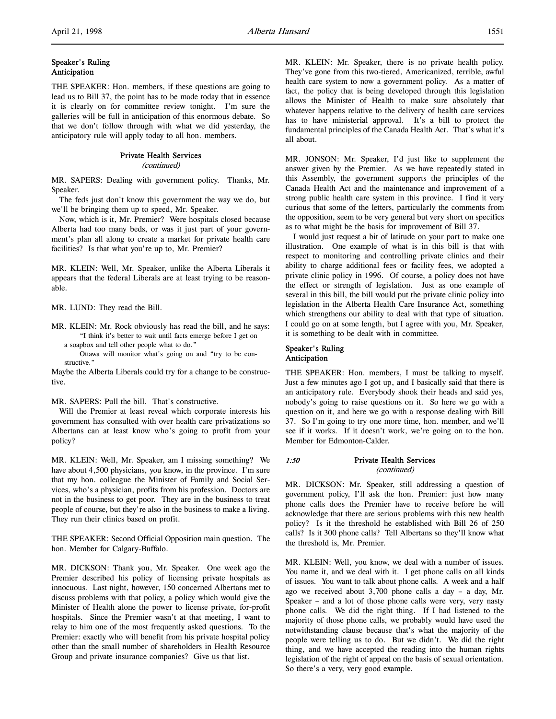# Speaker's Ruling Anticipation

THE SPEAKER: Hon. members, if these questions are going to lead us to Bill 37, the point has to be made today that in essence it is clearly on for committee review tonight. I'm sure the galleries will be full in anticipation of this enormous debate. So that we don't follow through with what we did yesterday, the anticipatory rule will apply today to all hon. members.

# Private Health Services

(continued)

MR. SAPERS: Dealing with government policy. Thanks, Mr. Speaker.

The feds just don't know this government the way we do, but we'll be bringing them up to speed, Mr. Speaker.

Now, which is it, Mr. Premier? Were hospitals closed because Alberta had too many beds, or was it just part of your government's plan all along to create a market for private health care facilities? Is that what you're up to, Mr. Premier?

MR. KLEIN: Well, Mr. Speaker, unlike the Alberta Liberals it appears that the federal Liberals are at least trying to be reasonable.

MR. LUND: They read the Bill.

- MR. KLEIN: Mr. Rock obviously has read the bill, and he says: "I think it's better to wait until facts emerge before I get on a soapbox and tell other people what to do."
	- Ottawa will monitor what's going on and "try to be constructive."

Maybe the Alberta Liberals could try for a change to be constructive.

# MR. SAPERS: Pull the bill. That's constructive.

Will the Premier at least reveal which corporate interests his government has consulted with over health care privatizations so Albertans can at least know who's going to profit from your policy?

MR. KLEIN: Well, Mr. Speaker, am I missing something? We have about 4,500 physicians, you know, in the province. I'm sure that my hon. colleague the Minister of Family and Social Services, who's a physician, profits from his profession. Doctors are not in the business to get poor. They are in the business to treat people of course, but they're also in the business to make a living. They run their clinics based on profit.

THE SPEAKER: Second Official Opposition main question. The hon. Member for Calgary-Buffalo.

MR. DICKSON: Thank you, Mr. Speaker. One week ago the Premier described his policy of licensing private hospitals as innocuous. Last night, however, 150 concerned Albertans met to discuss problems with that policy, a policy which would give the Minister of Health alone the power to license private, for-profit hospitals. Since the Premier wasn't at that meeting, I want to relay to him one of the most frequently asked questions. To the Premier: exactly who will benefit from his private hospital policy other than the small number of shareholders in Health Resource Group and private insurance companies? Give us that list.

MR. KLEIN: Mr. Speaker, there is no private health policy. They've gone from this two-tiered, Americanized, terrible, awful health care system to now a government policy. As a matter of fact, the policy that is being developed through this legislation allows the Minister of Health to make sure absolutely that whatever happens relative to the delivery of health care services has to have ministerial approval. It's a bill to protect the fundamental principles of the Canada Health Act. That's what it's all about.

MR. JONSON: Mr. Speaker, I'd just like to supplement the answer given by the Premier. As we have repeatedly stated in this Assembly, the government supports the principles of the Canada Health Act and the maintenance and improvement of a strong public health care system in this province. I find it very curious that some of the letters, particularly the comments from the opposition, seem to be very general but very short on specifics as to what might be the basis for improvement of Bill 37.

I would just request a bit of latitude on your part to make one illustration. One example of what is in this bill is that with respect to monitoring and controlling private clinics and their ability to charge additional fees or facility fees, we adopted a private clinic policy in 1996. Of course, a policy does not have the effect or strength of legislation. Just as one example of several in this bill, the bill would put the private clinic policy into legislation in the Alberta Health Care Insurance Act, something which strengthens our ability to deal with that type of situation. I could go on at some length, but I agree with you, Mr. Speaker, it is something to be dealt with in committee.

# Speaker's Ruling Anticipation

THE SPEAKER: Hon. members, I must be talking to myself. Just a few minutes ago I got up, and I basically said that there is an anticipatory rule. Everybody shook their heads and said yes, nobody's going to raise questions on it. So here we go with a question on it, and here we go with a response dealing with Bill 37. So I'm going to try one more time, hon. member, and we'll see if it works. If it doesn't work, we're going on to the hon. Member for Edmonton-Calder.

### 1:50 Private Health Services (continued)

MR. DICKSON: Mr. Speaker, still addressing a question of government policy, I'll ask the hon. Premier: just how many phone calls does the Premier have to receive before he will acknowledge that there are serious problems with this new health policy? Is it the threshold he established with Bill 26 of 250 calls? Is it 300 phone calls? Tell Albertans so they'll know what the threshold is, Mr. Premier.

MR. KLEIN: Well, you know, we deal with a number of issues. You name it, and we deal with it. I get phone calls on all kinds of issues. You want to talk about phone calls. A week and a half ago we received about 3,700 phone calls a day – a day, Mr. Speaker – and a lot of those phone calls were very, very nasty phone calls. We did the right thing. If I had listened to the majority of those phone calls, we probably would have used the notwithstanding clause because that's what the majority of the people were telling us to do. But we didn't. We did the right thing, and we have accepted the reading into the human rights legislation of the right of appeal on the basis of sexual orientation. So there's a very, very good example.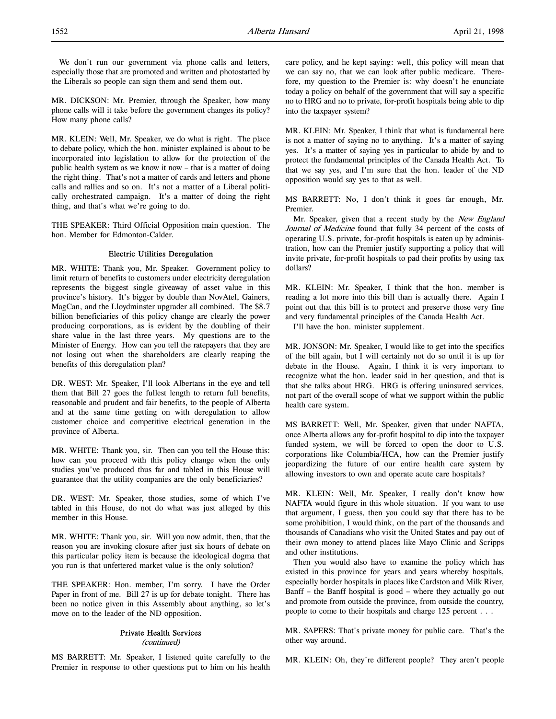We don't run our government via phone calls and letters, especially those that are promoted and written and photostatted by the Liberals so people can sign them and send them out.

MR. DICKSON: Mr. Premier, through the Speaker, how many phone calls will it take before the government changes its policy? How many phone calls?

MR. KLEIN: Well, Mr. Speaker, we do what is right. The place to debate policy, which the hon. minister explained is about to be incorporated into legislation to allow for the protection of the public health system as we know it now – that is a matter of doing the right thing. That's not a matter of cards and letters and phone calls and rallies and so on. It's not a matter of a Liberal politically orchestrated campaign. It's a matter of doing the right thing, and that's what we're going to do.

THE SPEAKER: Third Official Opposition main question. The hon. Member for Edmonton-Calder.

# Electric Utilities Deregulation

MR. WHITE: Thank you, Mr. Speaker. Government policy to limit return of benefits to customers under electricity deregulation represents the biggest single giveaway of asset value in this province's history. It's bigger by double than NovAtel, Gainers, MagCan, and the Lloydminster upgrader all combined. The \$8.7 billion beneficiaries of this policy change are clearly the power producing corporations, as is evident by the doubling of their share value in the last three years. My questions are to the Minister of Energy. How can you tell the ratepayers that they are not losing out when the shareholders are clearly reaping the benefits of this deregulation plan?

DR. WEST: Mr. Speaker, I'll look Albertans in the eye and tell them that Bill 27 goes the fullest length to return full benefits, reasonable and prudent and fair benefits, to the people of Alberta and at the same time getting on with deregulation to allow customer choice and competitive electrical generation in the province of Alberta.

MR. WHITE: Thank you, sir. Then can you tell the House this: how can you proceed with this policy change when the only studies you've produced thus far and tabled in this House will guarantee that the utility companies are the only beneficiaries?

DR. WEST: Mr. Speaker, those studies, some of which I've tabled in this House, do not do what was just alleged by this member in this House.

MR. WHITE: Thank you, sir. Will you now admit, then, that the reason you are invoking closure after just six hours of debate on this particular policy item is because the ideological dogma that you run is that unfettered market value is the only solution?

THE SPEAKER: Hon. member, I'm sorry. I have the Order Paper in front of me. Bill 27 is up for debate tonight. There has been no notice given in this Assembly about anything, so let's move on to the leader of the ND opposition.

#### Private Health Services

(continued)

MS BARRETT: Mr. Speaker, I listened quite carefully to the Premier in response to other questions put to him on his health

care policy, and he kept saying: well, this policy will mean that we can say no, that we can look after public medicare. Therefore, my question to the Premier is: why doesn't he enunciate today a policy on behalf of the government that will say a specific no to HRG and no to private, for-profit hospitals being able to dip into the taxpayer system?

MR. KLEIN: Mr. Speaker, I think that what is fundamental here is not a matter of saying no to anything. It's a matter of saying yes. It's a matter of saying yes in particular to abide by and to protect the fundamental principles of the Canada Health Act. To that we say yes, and I'm sure that the hon. leader of the ND opposition would say yes to that as well.

MS BARRETT: No, I don't think it goes far enough, Mr. Premier.

Mr. Speaker, given that a recent study by the New England Journal of Medicine found that fully 34 percent of the costs of operating U.S. private, for-profit hospitals is eaten up by administration, how can the Premier justify supporting a policy that will invite private, for-profit hospitals to pad their profits by using tax dollars?

MR. KLEIN: Mr. Speaker, I think that the hon. member is reading a lot more into this bill than is actually there. Again I point out that this bill is to protect and preserve those very fine and very fundamental principles of the Canada Health Act.

I'll have the hon. minister supplement.

MR. JONSON: Mr. Speaker, I would like to get into the specifics of the bill again, but I will certainly not do so until it is up for debate in the House. Again, I think it is very important to recognize what the hon. leader said in her question, and that is that she talks about HRG. HRG is offering uninsured services, not part of the overall scope of what we support within the public health care system.

MS BARRETT: Well, Mr. Speaker, given that under NAFTA, once Alberta allows any for-profit hospital to dip into the taxpayer funded system, we will be forced to open the door to U.S. corporations like Columbia/HCA, how can the Premier justify jeopardizing the future of our entire health care system by allowing investors to own and operate acute care hospitals?

MR. KLEIN: Well, Mr. Speaker, I really don't know how NAFTA would figure in this whole situation. If you want to use that argument, I guess, then you could say that there has to be some prohibition, I would think, on the part of the thousands and thousands of Canadians who visit the United States and pay out of their own money to attend places like Mayo Clinic and Scripps and other institutions.

Then you would also have to examine the policy which has existed in this province for years and years whereby hospitals, especially border hospitals in places like Cardston and Milk River, Banff – the Banff hospital is good – where they actually go out and promote from outside the province, from outside the country, people to come to their hospitals and charge 125 percent . . .

MR. SAPERS: That's private money for public care. That's the other way around.

MR. KLEIN: Oh, they're different people? They aren't people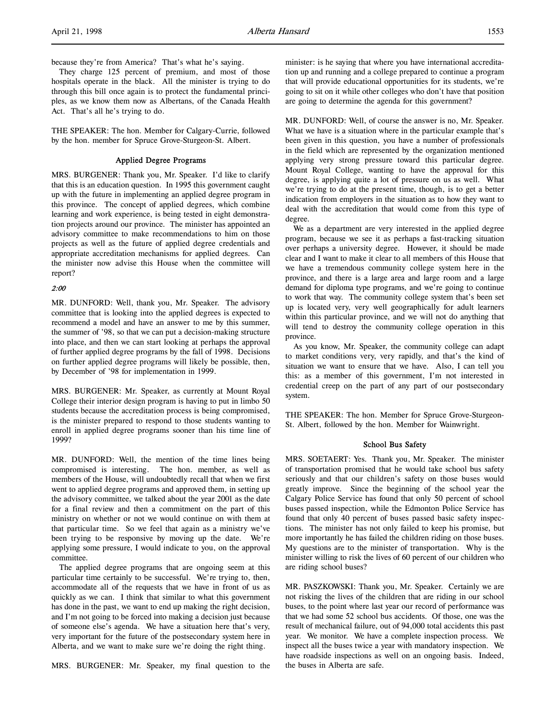because they're from America? That's what he's saying.

They charge 125 percent of premium, and most of those hospitals operate in the black. All the minister is trying to do through this bill once again is to protect the fundamental principles, as we know them now as Albertans, of the Canada Health Act. That's all he's trying to do.

THE SPEAKER: The hon. Member for Calgary-Currie, followed by the hon. member for Spruce Grove-Sturgeon-St. Albert.

#### Applied Degree Programs

MRS. BURGENER: Thank you, Mr. Speaker. I'd like to clarify that this is an education question. In 1995 this government caught up with the future in implementing an applied degree program in this province. The concept of applied degrees, which combine learning and work experience, is being tested in eight demonstration projects around our province. The minister has appointed an advisory committee to make recommendations to him on those projects as well as the future of applied degree credentials and appropriate accreditation mechanisms for applied degrees. Can the minister now advise this House when the committee will report?

#### 2:00

MR. DUNFORD: Well, thank you, Mr. Speaker. The advisory committee that is looking into the applied degrees is expected to recommend a model and have an answer to me by this summer, the summer of '98, so that we can put a decision-making structure into place, and then we can start looking at perhaps the approval of further applied degree programs by the fall of 1998. Decisions on further applied degree programs will likely be possible, then, by December of '98 for implementation in 1999.

MRS. BURGENER: Mr. Speaker, as currently at Mount Royal College their interior design program is having to put in limbo 50 students because the accreditation process is being compromised, is the minister prepared to respond to those students wanting to enroll in applied degree programs sooner than his time line of 1999?

MR. DUNFORD: Well, the mention of the time lines being compromised is interesting. The hon. member, as well as members of the House, will undoubtedly recall that when we first went to applied degree programs and approved them, in setting up the advisory committee, we talked about the year 2001 as the date for a final review and then a commitment on the part of this ministry on whether or not we would continue on with them at that particular time. So we feel that again as a ministry we've been trying to be responsive by moving up the date. We're applying some pressure, I would indicate to you, on the approval committee.

The applied degree programs that are ongoing seem at this particular time certainly to be successful. We're trying to, then, accommodate all of the requests that we have in front of us as quickly as we can. I think that similar to what this government has done in the past, we want to end up making the right decision, and I'm not going to be forced into making a decision just because of someone else's agenda. We have a situation here that's very, very important for the future of the postsecondary system here in Alberta, and we want to make sure we're doing the right thing.

MRS. BURGENER: Mr. Speaker, my final question to the

minister: is he saying that where you have international accreditation up and running and a college prepared to continue a program that will provide educational opportunities for its students, we're going to sit on it while other colleges who don't have that position are going to determine the agenda for this government?

MR. DUNFORD: Well, of course the answer is no, Mr. Speaker. What we have is a situation where in the particular example that's been given in this question, you have a number of professionals in the field which are represented by the organization mentioned applying very strong pressure toward this particular degree. Mount Royal College, wanting to have the approval for this degree, is applying quite a lot of pressure on us as well. What we're trying to do at the present time, though, is to get a better indication from employers in the situation as to how they want to deal with the accreditation that would come from this type of degree.

We as a department are very interested in the applied degree program, because we see it as perhaps a fast-tracking situation over perhaps a university degree. However, it should be made clear and I want to make it clear to all members of this House that we have a tremendous community college system here in the province, and there is a large area and large room and a large demand for diploma type programs, and we're going to continue to work that way. The community college system that's been set up is located very, very well geographically for adult learners within this particular province, and we will not do anything that will tend to destroy the community college operation in this province.

As you know, Mr. Speaker, the community college can adapt to market conditions very, very rapidly, and that's the kind of situation we want to ensure that we have. Also, I can tell you this: as a member of this government, I'm not interested in credential creep on the part of any part of our postsecondary system.

THE SPEAKER: The hon. Member for Spruce Grove-Sturgeon-St. Albert, followed by the hon. Member for Wainwright.

### School Bus Safety

MRS. SOETAERT: Yes. Thank you, Mr. Speaker. The minister of transportation promised that he would take school bus safety seriously and that our children's safety on those buses would greatly improve. Since the beginning of the school year the Calgary Police Service has found that only 50 percent of school buses passed inspection, while the Edmonton Police Service has found that only 40 percent of buses passed basic safety inspections. The minister has not only failed to keep his promise, but more importantly he has failed the children riding on those buses. My questions are to the minister of transportation. Why is the minister willing to risk the lives of 60 percent of our children who are riding school buses?

MR. PASZKOWSKI: Thank you, Mr. Speaker. Certainly we are not risking the lives of the children that are riding in our school buses, to the point where last year our record of performance was that we had some 52 school bus accidents. Of those, one was the result of mechanical failure, out of 94,000 total accidents this past year. We monitor. We have a complete inspection process. We inspect all the buses twice a year with mandatory inspection. We have roadside inspections as well on an ongoing basis. Indeed, the buses in Alberta are safe.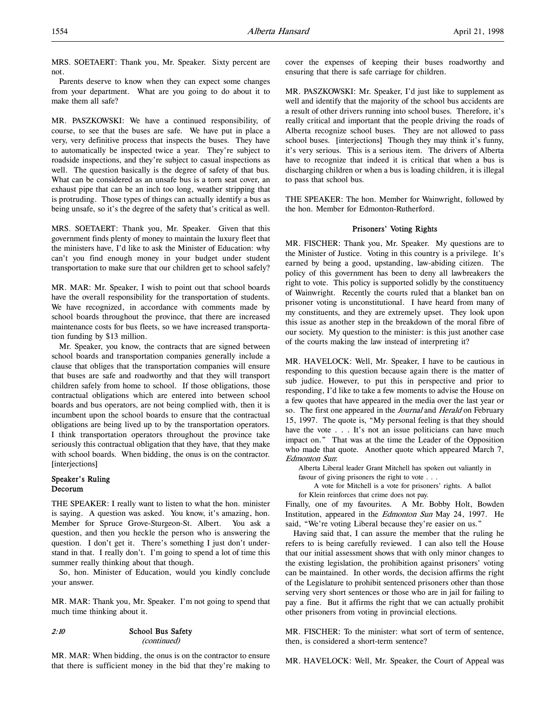MRS. SOETAERT: Thank you, Mr. Speaker. Sixty percent are not.

Parents deserve to know when they can expect some changes from your department. What are you going to do about it to make them all safe?

MR. PASZKOWSKI: We have a continued responsibility, of course, to see that the buses are safe. We have put in place a very, very definitive process that inspects the buses. They have to automatically be inspected twice a year. They're subject to roadside inspections, and they're subject to casual inspections as well. The question basically is the degree of safety of that bus. What can be considered as an unsafe bus is a torn seat cover, an exhaust pipe that can be an inch too long, weather stripping that is protruding. Those types of things can actually identify a bus as being unsafe, so it's the degree of the safety that's critical as well.

MRS. SOETAERT: Thank you, Mr. Speaker. Given that this government finds plenty of money to maintain the luxury fleet that the ministers have, I'd like to ask the Minister of Education: why can't you find enough money in your budget under student transportation to make sure that our children get to school safely?

MR. MAR: Mr. Speaker, I wish to point out that school boards have the overall responsibility for the transportation of students. We have recognized, in accordance with comments made by school boards throughout the province, that there are increased maintenance costs for bus fleets, so we have increased transportation funding by \$13 million.

Mr. Speaker, you know, the contracts that are signed between school boards and transportation companies generally include a clause that obliges that the transportation companies will ensure that buses are safe and roadworthy and that they will transport children safely from home to school. If those obligations, those contractual obligations which are entered into between school boards and bus operators, are not being complied with, then it is incumbent upon the school boards to ensure that the contractual obligations are being lived up to by the transportation operators. I think transportation operators throughout the province take seriously this contractual obligation that they have, that they make with school boards. When bidding, the onus is on the contractor. [interjections]

# Speaker's Ruling Decorum

THE SPEAKER: I really want to listen to what the hon. minister is saying. A question was asked. You know, it's amazing, hon. Member for Spruce Grove-Sturgeon-St. Albert. You ask a question, and then you heckle the person who is answering the question. I don't get it. There's something I just don't understand in that. I really don't. I'm going to spend a lot of time this summer really thinking about that though.

So, hon. Minister of Education, would you kindly conclude your answer.

MR. MAR: Thank you, Mr. Speaker. I'm not going to spend that much time thinking about it.

2:10 School Bus Safety (continued)

MR. MAR: When bidding, the onus is on the contractor to ensure that there is sufficient money in the bid that they're making to

cover the expenses of keeping their buses roadworthy and ensuring that there is safe carriage for children.

MR. PASZKOWSKI: Mr. Speaker, I'd just like to supplement as well and identify that the majority of the school bus accidents are a result of other drivers running into school buses. Therefore, it's really critical and important that the people driving the roads of Alberta recognize school buses. They are not allowed to pass school buses. [interjections] Though they may think it's funny, it's very serious. This is a serious item. The drivers of Alberta have to recognize that indeed it is critical that when a bus is discharging children or when a bus is loading children, it is illegal to pass that school bus.

THE SPEAKER: The hon. Member for Wainwright, followed by the hon. Member for Edmonton-Rutherford.

# Prisoners' Voting Rights

MR. FISCHER: Thank you, Mr. Speaker. My questions are to the Minister of Justice. Voting in this country is a privilege. It's earned by being a good, upstanding, law-abiding citizen. The policy of this government has been to deny all lawbreakers the right to vote. This policy is supported solidly by the constituency of Wainwright. Recently the courts ruled that a blanket ban on prisoner voting is unconstitutional. I have heard from many of my constituents, and they are extremely upset. They look upon this issue as another step in the breakdown of the moral fibre of our society. My question to the minister: is this just another case of the courts making the law instead of interpreting it?

MR. HAVELOCK: Well, Mr. Speaker, I have to be cautious in responding to this question because again there is the matter of sub judice. However, to put this in perspective and prior to responding, I'd like to take a few moments to advise the House on a few quotes that have appeared in the media over the last year or so. The first one appeared in the Journal and Herald on February 15, 1997. The quote is, "My personal feeling is that they should have the vote . . . It's not an issue politicians can have much impact on." That was at the time the Leader of the Opposition who made that quote. Another quote which appeared March 7, Edmonton Sun:

Alberta Liberal leader Grant Mitchell has spoken out valiantly in favour of giving prisoners the right to vote . . .

A vote for Mitchell is a vote for prisoners' rights. A ballot for Klein reinforces that crime does not pay.

Finally, one of my favourites. A Mr. Bobby Holt, Bowden Institution, appeared in the Edmonton Sun May 24, 1997. He said, "We're voting Liberal because they're easier on us."

Having said that, I can assure the member that the ruling he refers to is being carefully reviewed. I can also tell the House that our initial assessment shows that with only minor changes to the existing legislation, the prohibition against prisoners' voting can be maintained. In other words, the decision affirms the right of the Legislature to prohibit sentenced prisoners other than those serving very short sentences or those who are in jail for failing to pay a fine. But it affirms the right that we can actually prohibit other prisoners from voting in provincial elections.

MR. FISCHER: To the minister: what sort of term of sentence, then, is considered a short-term sentence?

MR. HAVELOCK: Well, Mr. Speaker, the Court of Appeal was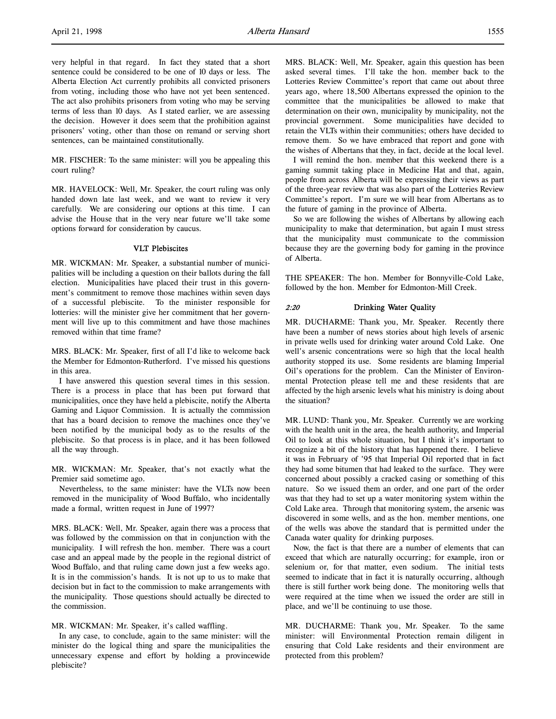very helpful in that regard. In fact they stated that a short sentence could be considered to be one of 10 days or less. The Alberta Election Act currently prohibits all convicted prisoners from voting, including those who have not yet been sentenced. The act also prohibits prisoners from voting who may be serving terms of less than 10 days. As I stated earlier, we are assessing the decision. However it does seem that the prohibition against prisoners' voting, other than those on remand or serving short sentences, can be maintained constitutionally.

MR. FISCHER: To the same minister: will you be appealing this court ruling?

MR. HAVELOCK: Well, Mr. Speaker, the court ruling was only handed down late last week, and we want to review it very carefully. We are considering our options at this time. I can advise the House that in the very near future we'll take some options forward for consideration by caucus.

### VLT Plebiscites

MR. WICKMAN: Mr. Speaker, a substantial number of municipalities will be including a question on their ballots during the fall election. Municipalities have placed their trust in this government's commitment to remove those machines within seven days of a successful plebiscite. To the minister responsible for lotteries: will the minister give her commitment that her government will live up to this commitment and have those machines removed within that time frame?

MRS. BLACK: Mr. Speaker, first of all I'd like to welcome back the Member for Edmonton-Rutherford. I've missed his questions in this area.

I have answered this question several times in this session. There is a process in place that has been put forward that municipalities, once they have held a plebiscite, notify the Alberta Gaming and Liquor Commission. It is actually the commission that has a board decision to remove the machines once they've been notified by the municipal body as to the results of the plebiscite. So that process is in place, and it has been followed all the way through.

MR. WICKMAN: Mr. Speaker, that's not exactly what the Premier said sometime ago.

Nevertheless, to the same minister: have the VLTs now been removed in the municipality of Wood Buffalo, who incidentally made a formal, written request in June of 1997?

MRS. BLACK: Well, Mr. Speaker, again there was a process that was followed by the commission on that in conjunction with the municipality. I will refresh the hon. member. There was a court case and an appeal made by the people in the regional district of Wood Buffalo, and that ruling came down just a few weeks ago. It is in the commission's hands. It is not up to us to make that decision but in fact to the commission to make arrangements with the municipality. Those questions should actually be directed to the commission.

MR. WICKMAN: Mr. Speaker, it's called waffling.

In any case, to conclude, again to the same minister: will the minister do the logical thing and spare the municipalities the unnecessary expense and effort by holding a provincewide plebiscite?

MRS. BLACK: Well, Mr. Speaker, again this question has been asked several times. I'll take the hon. member back to the Lotteries Review Committee's report that came out about three years ago, where 18,500 Albertans expressed the opinion to the committee that the municipalities be allowed to make that determination on their own, municipality by municipality, not the provincial government. Some municipalities have decided to retain the VLTs within their communities; others have decided to remove them. So we have embraced that report and gone with the wishes of Albertans that they, in fact, decide at the local level.

I will remind the hon. member that this weekend there is a gaming summit taking place in Medicine Hat and that, again, people from across Alberta will be expressing their views as part of the three-year review that was also part of the Lotteries Review Committee's report. I'm sure we will hear from Albertans as to the future of gaming in the province of Alberta.

So we are following the wishes of Albertans by allowing each municipality to make that determination, but again I must stress that the municipality must communicate to the commission because they are the governing body for gaming in the province of Alberta.

THE SPEAKER: The hon. Member for Bonnyville-Cold Lake, followed by the hon. Member for Edmonton-Mill Creek.

### 2:20 Drinking Water Quality

MR. DUCHARME: Thank you, Mr. Speaker. Recently there have been a number of news stories about high levels of arsenic in private wells used for drinking water around Cold Lake. One well's arsenic concentrations were so high that the local health authority stopped its use. Some residents are blaming Imperial Oil's operations for the problem. Can the Minister of Environmental Protection please tell me and these residents that are affected by the high arsenic levels what his ministry is doing about the situation?

MR. LUND: Thank you, Mr. Speaker. Currently we are working with the health unit in the area, the health authority, and Imperial Oil to look at this whole situation, but I think it's important to recognize a bit of the history that has happened there. I believe it was in February of '95 that Imperial Oil reported that in fact they had some bitumen that had leaked to the surface. They were concerned about possibly a cracked casing or something of this nature. So we issued them an order, and one part of the order was that they had to set up a water monitoring system within the Cold Lake area. Through that monitoring system, the arsenic was discovered in some wells, and as the hon. member mentions, one of the wells was above the standard that is permitted under the Canada water quality for drinking purposes.

Now, the fact is that there are a number of elements that can exceed that which are naturally occurring; for example, iron or selenium or, for that matter, even sodium. The initial tests seemed to indicate that in fact it is naturally occurring, although there is still further work being done. The monitoring wells that were required at the time when we issued the order are still in place, and we'll be continuing to use those.

MR. DUCHARME: Thank you, Mr. Speaker. To the same minister: will Environmental Protection remain diligent in ensuring that Cold Lake residents and their environment are protected from this problem?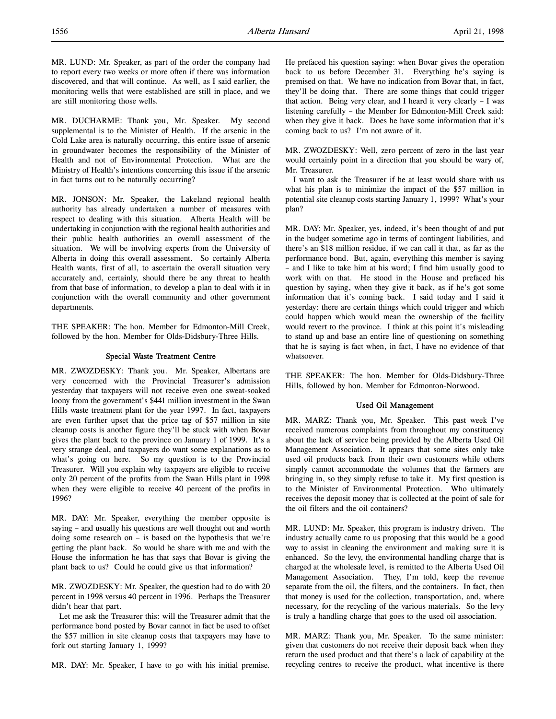MR. LUND: Mr. Speaker, as part of the order the company had to report every two weeks or more often if there was information discovered, and that will continue. As well, as I said earlier, the monitoring wells that were established are still in place, and we are still monitoring those wells.

MR. DUCHARME: Thank you, Mr. Speaker. My second supplemental is to the Minister of Health. If the arsenic in the Cold Lake area is naturally occurring, this entire issue of arsenic in groundwater becomes the responsibility of the Minister of Health and not of Environmental Protection. What are the Ministry of Health's intentions concerning this issue if the arsenic in fact turns out to be naturally occurring?

MR. JONSON: Mr. Speaker, the Lakeland regional health authority has already undertaken a number of measures with respect to dealing with this situation. Alberta Health will be undertaking in conjunction with the regional health authorities and their public health authorities an overall assessment of the situation. We will be involving experts from the University of Alberta in doing this overall assessment. So certainly Alberta Health wants, first of all, to ascertain the overall situation very accurately and, certainly, should there be any threat to health from that base of information, to develop a plan to deal with it in conjunction with the overall community and other government departments.

THE SPEAKER: The hon. Member for Edmonton-Mill Creek, followed by the hon. Member for Olds-Didsbury-Three Hills.

#### Special Waste Treatment Centre

MR. ZWOZDESKY: Thank you. Mr. Speaker, Albertans are very concerned with the Provincial Treasurer's admission yesterday that taxpayers will not receive even one sweat-soaked loony from the government's \$441 million investment in the Swan Hills waste treatment plant for the year 1997. In fact, taxpayers are even further upset that the price tag of \$57 million in site cleanup costs is another figure they'll be stuck with when Bovar gives the plant back to the province on January 1 of 1999. It's a very strange deal, and taxpayers do want some explanations as to what's going on here. So my question is to the Provincial Treasurer. Will you explain why taxpayers are eligible to receive only 20 percent of the profits from the Swan Hills plant in 1998 when they were eligible to receive 40 percent of the profits in 1996?

MR. DAY: Mr. Speaker, everything the member opposite is saying – and usually his questions are well thought out and worth doing some research on – is based on the hypothesis that we're getting the plant back. So would he share with me and with the House the information he has that says that Bovar is giving the plant back to us? Could he could give us that information?

MR. ZWOZDESKY: Mr. Speaker, the question had to do with 20 percent in 1998 versus 40 percent in 1996. Perhaps the Treasurer didn't hear that part.

Let me ask the Treasurer this: will the Treasurer admit that the performance bond posted by Bovar cannot in fact be used to offset the \$57 million in site cleanup costs that taxpayers may have to fork out starting January 1, 1999?

MR. DAY: Mr. Speaker, I have to go with his initial premise.

He prefaced his question saying: when Bovar gives the operation back to us before December 31. Everything he's saying is premised on that. We have no indication from Bovar that, in fact, they'll be doing that. There are some things that could trigger that action. Being very clear, and I heard it very clearly – I was listening carefully – the Member for Edmonton-Mill Creek said: when they give it back. Does he have some information that it's coming back to us? I'm not aware of it.

MR. ZWOZDESKY: Well, zero percent of zero in the last year would certainly point in a direction that you should be wary of, Mr. Treasurer.

I want to ask the Treasurer if he at least would share with us what his plan is to minimize the impact of the \$57 million in potential site cleanup costs starting January 1, 1999? What's your plan?

MR. DAY: Mr. Speaker, yes, indeed, it's been thought of and put in the budget sometime ago in terms of contingent liabilities, and there's an \$18 million residue, if we can call it that, as far as the performance bond. But, again, everything this member is saying – and I like to take him at his word; I find him usually good to work with on that. He stood in the House and prefaced his question by saying, when they give it back, as if he's got some information that it's coming back. I said today and I said it yesterday: there are certain things which could trigger and which could happen which would mean the ownership of the facility would revert to the province. I think at this point it's misleading to stand up and base an entire line of questioning on something that he is saying is fact when, in fact, I have no evidence of that whatsoever.

THE SPEAKER: The hon. Member for Olds-Didsbury-Three Hills, followed by hon. Member for Edmonton-Norwood.

#### Used Oil Management

MR. MARZ: Thank you, Mr. Speaker. This past week I've received numerous complaints from throughout my constituency about the lack of service being provided by the Alberta Used Oil Management Association. It appears that some sites only take used oil products back from their own customers while others simply cannot accommodate the volumes that the farmers are bringing in, so they simply refuse to take it. My first question is to the Minister of Environmental Protection. Who ultimately receives the deposit money that is collected at the point of sale for the oil filters and the oil containers?

MR. LUND: Mr. Speaker, this program is industry driven. The industry actually came to us proposing that this would be a good way to assist in cleaning the environment and making sure it is enhanced. So the levy, the environmental handling charge that is charged at the wholesale level, is remitted to the Alberta Used Oil Management Association. They, I'm told, keep the revenue separate from the oil, the filters, and the containers. In fact, then that money is used for the collection, transportation, and, where necessary, for the recycling of the various materials. So the levy is truly a handling charge that goes to the used oil association.

MR. MARZ: Thank you, Mr. Speaker. To the same minister: given that customers do not receive their deposit back when they return the used product and that there's a lack of capability at the recycling centres to receive the product, what incentive is there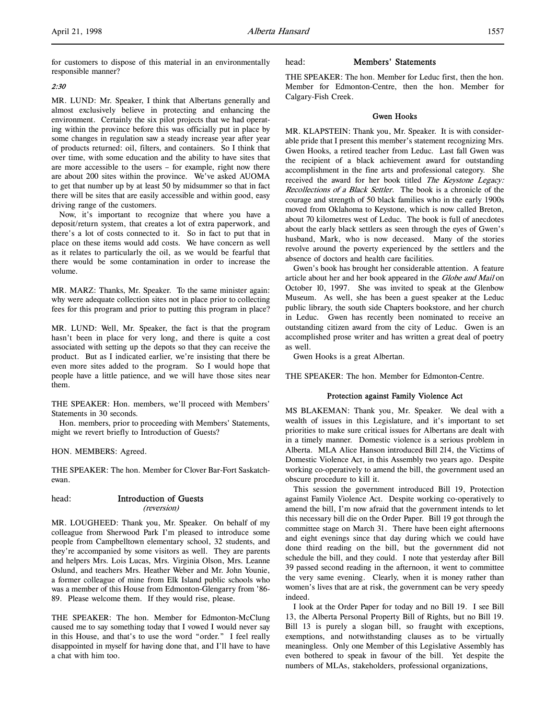for customers to dispose of this material in an environmentally responsible manner?

#### 2:30

MR. LUND: Mr. Speaker, I think that Albertans generally and almost exclusively believe in protecting and enhancing the environment. Certainly the six pilot projects that we had operating within the province before this was officially put in place by some changes in regulation saw a steady increase year after year of products returned: oil, filters, and containers. So I think that over time, with some education and the ability to have sites that are more accessible to the users – for example, right now there are about 200 sites within the province. We've asked AUOMA to get that number up by at least 50 by midsummer so that in fact there will be sites that are easily accessible and within good, easy driving range of the customers.

Now, it's important to recognize that where you have a deposit/return system, that creates a lot of extra paperwork, and there's a lot of costs connected to it. So in fact to put that in place on these items would add costs. We have concern as well as it relates to particularly the oil, as we would be fearful that there would be some contamination in order to increase the volume.

MR. MARZ: Thanks, Mr. Speaker. To the same minister again: why were adequate collection sites not in place prior to collecting fees for this program and prior to putting this program in place?

MR. LUND: Well, Mr. Speaker, the fact is that the program hasn't been in place for very long, and there is quite a cost associated with setting up the depots so that they can receive the product. But as I indicated earlier, we're insisting that there be even more sites added to the program. So I would hope that people have a little patience, and we will have those sites near them.

THE SPEAKER: Hon. members, we'll proceed with Members' Statements in 30 seconds.

Hon. members, prior to proceeding with Members' Statements, might we revert briefly to Introduction of Guests?

HON. MEMBERS: Agreed.

THE SPEAKER: The hon. Member for Clover Bar-Fort Saskatchewan.

# head: Introduction of Guests

(reversion)

MR. LOUGHEED: Thank you, Mr. Speaker. On behalf of my colleague from Sherwood Park I'm pleased to introduce some people from Campbelltown elementary school, 32 students, and they're accompanied by some visitors as well. They are parents and helpers Mrs. Lois Lucas, Mrs. Virginia Olson, Mrs. Leanne Oslund, and teachers Mrs. Heather Weber and Mr. John Younie, a former colleague of mine from Elk Island public schools who was a member of this House from Edmonton-Glengarry from '86- 89. Please welcome them. If they would rise, please.

THE SPEAKER: The hon. Member for Edmonton-McClung caused me to say something today that I vowed I would never say in this House, and that's to use the word "order." I feel really disappointed in myself for having done that, and I'll have to have a chat with him too.

# head: Members' Statements

THE SPEAKER: The hon. Member for Leduc first, then the hon. Member for Edmonton-Centre, then the hon. Member for Calgary-Fish Creek.

#### Gwen Hooks

MR. KLAPSTEIN: Thank you, Mr. Speaker. It is with considerable pride that I present this member's statement recognizing Mrs. Gwen Hooks, a retired teacher from Leduc. Last fall Gwen was the recipient of a black achievement award for outstanding accomplishment in the fine arts and professional category. She received the award for her book titled The Keystone Legacy: Recollections of a Black Settler. The book is a chronicle of the courage and strength of 50 black families who in the early 1900s moved from Oklahoma to Keystone, which is now called Breton, about 70 kilometres west of Leduc. The book is full of anecdotes about the early black settlers as seen through the eyes of Gwen's husband, Mark, who is now deceased. Many of the stories revolve around the poverty experienced by the settlers and the absence of doctors and health care facilities.

Gwen's book has brought her considerable attention. A feature article about her and her book appeared in the Globe and Mail on October 10, 1997. She was invited to speak at the Glenbow Museum. As well, she has been a guest speaker at the Leduc public library, the south side Chapters bookstore, and her church in Leduc. Gwen has recently been nominated to receive an outstanding citizen award from the city of Leduc. Gwen is an accomplished prose writer and has written a great deal of poetry as well.

Gwen Hooks is a great Albertan.

THE SPEAKER: The hon. Member for Edmonton-Centre.

#### Protection against Family Violence Act

MS BLAKEMAN: Thank you, Mr. Speaker. We deal with a wealth of issues in this Legislature, and it's important to set priorities to make sure critical issues for Albertans are dealt with in a timely manner. Domestic violence is a serious problem in Alberta. MLA Alice Hanson introduced Bill 214, the Victims of Domestic Violence Act, in this Assembly two years ago. Despite working co-operatively to amend the bill, the government used an obscure procedure to kill it.

This session the government introduced Bill 19, Protection against Family Violence Act. Despite working co-operatively to amend the bill, I'm now afraid that the government intends to let this necessary bill die on the Order Paper. Bill 19 got through the committee stage on March 31. There have been eight afternoons and eight evenings since that day during which we could have done third reading on the bill, but the government did not schedule the bill, and they could. I note that yesterday after Bill 39 passed second reading in the afternoon, it went to committee the very same evening. Clearly, when it is money rather than women's lives that are at risk, the government can be very speedy indeed.

I look at the Order Paper for today and no Bill 19. I see Bill 13, the Alberta Personal Property Bill of Rights, but no Bill 19. Bill 13 is purely a slogan bill, so fraught with exceptions, exemptions, and notwithstanding clauses as to be virtually meaningless. Only one Member of this Legislative Assembly has even bothered to speak in favour of the bill. Yet despite the numbers of MLAs, stakeholders, professional organizations,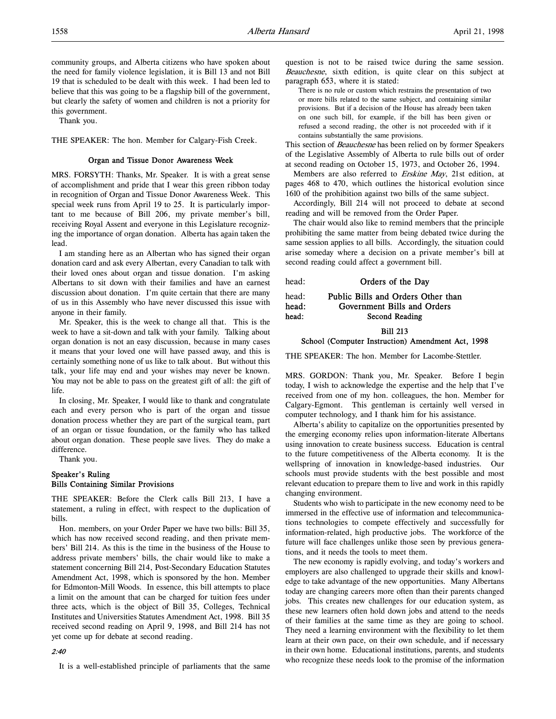community groups, and Alberta citizens who have spoken about the need for family violence legislation, it is Bill 13 and not Bill 19 that is scheduled to be dealt with this week. I had been led to believe that this was going to be a flagship bill of the government, but clearly the safety of women and children is not a priority for this government.

Thank you.

THE SPEAKER: The hon. Member for Calgary-Fish Creek.

#### Organ and Tissue Donor Awareness Week

MRS. FORSYTH: Thanks, Mr. Speaker. It is with a great sense of accomplishment and pride that I wear this green ribbon today in recognition of Organ and Tissue Donor Awareness Week. This special week runs from April 19 to 25. It is particularly important to me because of Bill 206, my private member's bill, receiving Royal Assent and everyone in this Legislature recognizing the importance of organ donation. Alberta has again taken the lead.

I am standing here as an Albertan who has signed their organ donation card and ask every Albertan, every Canadian to talk with their loved ones about organ and tissue donation. I'm asking Albertans to sit down with their families and have an earnest discussion about donation. I'm quite certain that there are many of us in this Assembly who have never discussed this issue with anyone in their family.

Mr. Speaker, this is the week to change all that. This is the week to have a sit-down and talk with your family. Talking about organ donation is not an easy discussion, because in many cases it means that your loved one will have passed away, and this is certainly something none of us like to talk about. But without this talk, your life may end and your wishes may never be known. You may not be able to pass on the greatest gift of all: the gift of life.

In closing, Mr. Speaker, I would like to thank and congratulate each and every person who is part of the organ and tissue donation process whether they are part of the surgical team, part of an organ or tissue foundation, or the family who has talked about organ donation. These people save lives. They do make a difference.

Thank you.

# Speaker's Ruling Bills Containing Similar Provisions

THE SPEAKER: Before the Clerk calls Bill 213, I have a statement, a ruling in effect, with respect to the duplication of bills.

Hon. members, on your Order Paper we have two bills: Bill 35, which has now received second reading, and then private members' Bill 214. As this is the time in the business of the House to address private members' bills, the chair would like to make a statement concerning Bill 214, Post-Secondary Education Statutes Amendment Act, 1998, which is sponsored by the hon. Member for Edmonton-Mill Woods. In essence, this bill attempts to place a limit on the amount that can be charged for tuition fees under three acts, which is the object of Bill 35, Colleges, Technical Institutes and Universities Statutes Amendment Act, 1998. Bill 35 received second reading on April 9, 1998, and Bill 214 has not yet come up for debate at second reading.

#### 2:40

It is a well-established principle of parliaments that the same

question is not to be raised twice during the same session. Beauchesne, sixth edition, is quite clear on this subject at paragraph 653, where it is stated:

There is no rule or custom which restrains the presentation of two or more bills related to the same subject, and containing similar provisions. But if a decision of the House has already been taken on one such bill, for example, if the bill has been given or refused a second reading, the other is not proceeded with if it contains substantially the same provisions.

This section of Beauchesne has been relied on by former Speakers of the Legislative Assembly of Alberta to rule bills out of order at second reading on October 15, 1973, and October 26, 1994.

Members are also referred to Erskine May, 21st edition, at pages 468 to 470, which outlines the historical evolution since 1610 of the prohibition against two bills of the same subject.

Accordingly, Bill 214 will not proceed to debate at second reading and will be removed from the Order Paper.

The chair would also like to remind members that the principle prohibiting the same matter from being debated twice during the same session applies to all bills. Accordingly, the situation could arise someday where a decision on a private member's bill at second reading could affect a government bill.

head: **Orders of the Day** 

head: Public Bills and Orders Other than head: Government Bills and Orders head: Second Reading

Bill 213

# School (Computer Instruction) Amendment Act, 1998

THE SPEAKER: The hon. Member for Lacombe-Stettler.

MRS. GORDON: Thank you, Mr. Speaker. Before I begin today, I wish to acknowledge the expertise and the help that I've received from one of my hon. colleagues, the hon. Member for Calgary-Egmont. This gentleman is certainly well versed in computer technology, and I thank him for his assistance.

Alberta's ability to capitalize on the opportunities presented by the emerging economy relies upon information-literate Albertans using innovation to create business success. Education is central to the future competitiveness of the Alberta economy. It is the wellspring of innovation in knowledge-based industries. Our schools must provide students with the best possible and most relevant education to prepare them to live and work in this rapidly changing environment.

Students who wish to participate in the new economy need to be immersed in the effective use of information and telecommunications technologies to compete effectively and successfully for information-related, high productive jobs. The workforce of the future will face challenges unlike those seen by previous generations, and it needs the tools to meet them.

The new economy is rapidly evolving, and today's workers and employers are also challenged to upgrade their skills and knowledge to take advantage of the new opportunities. Many Albertans today are changing careers more often than their parents changed jobs. This creates new challenges for our education system, as these new learners often hold down jobs and attend to the needs of their families at the same time as they are going to school. They need a learning environment with the flexibility to let them learn at their own pace, on their own schedule, and if necessary in their own home. Educational institutions, parents, and students who recognize these needs look to the promise of the information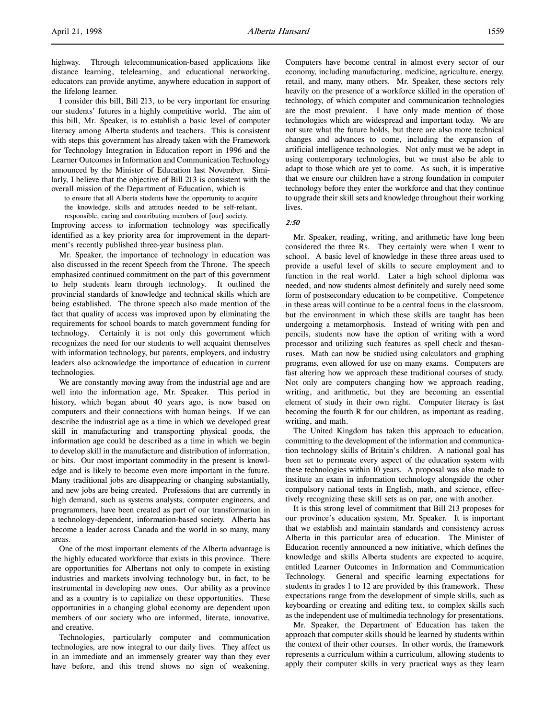highway. Through telecommunication-based applications like distance learning, telelearning, and educational networking, educators can provide anytime, anywhere education in support of the lifelong learner.

I consider this bill, Bill 213, to be very important for ensuring our students' futures in a highly competitive world. The aim of this bill, Mr. Speaker, is to establish a basic level of computer literacy among Alberta students and teachers. This is consistent with steps this government has already taken with the Framework for Technology Integration in Education report in 1996 and the Learner Outcomes in Information and Communication Technology announced by the Minister of Education last November. Similarly, I believe that the objective of Bill 213 is consistent with the overall mission of the Department of Education, which is

to ensure that all Alberta students have the opportunity to acquire the knowledge, skills and attitudes needed to be self-reliant,

responsible, caring and contributing members of [our] society. Improving access to information technology was specifically identified as a key priority area for improvement in the department's recently published three-year business plan.

Mr. Speaker, the importance of technology in education was also discussed in the recent Speech from the Throne. The speech emphasized continued commitment on the part of this government to help students learn through technology. It outlined the provincial standards of knowledge and technical skills which are being established. The throne speech also made mention of the fact that quality of access was improved upon by eliminating the requirements for school boards to match government funding for technology. Certainly it is not only this government which recognizes the need for our students to well acquaint themselves with information technology, but parents, employers, and industry leaders also acknowledge the importance of education in current technologies.

We are constantly moving away from the industrial age and are well into the information age, Mr. Speaker. This period in history, which began about 40 years ago, is now based on computers and their connections with human beings. If we can describe the industrial age as a time in which we developed great skill in manufacturing and transporting physical goods, the information age could be described as a time in which we begin to develop skill in the manufacture and distribution of information, or bits. Our most important commodity in the present is knowledge and is likely to become even more important in the future. Many traditional jobs are disappearing or changing substantially, and new jobs are being created. Professions that are currently in high demand, such as systems analysts, computer engineers, and programmers, have been created as part of our transformation in a technology-dependent, information-based society. Alberta has become a leader across Canada and the world in so many, many areas.

One of the most important elements of the Alberta advantage is the highly educated workforce that exists in this province. There are opportunities for Albertans not only to compete in existing industries and markets involving technology but, in fact, to be instrumental in developing new ones. Our ability as a province and as a country is to capitalize on these opportunities. These opportunities in a changing global economy are dependent upon members of our society who are informed, literate, innovative, and creative.

Technologies, particularly computer and communication technologies, are now integral to our daily lives. They affect us in an immediate and an immensely greater way than they ever have before, and this trend shows no sign of weakening.

Computers have become central in almost every sector of our economy, including manufacturing, medicine, agriculture, energy, retail, and many, many others. Mr. Speaker, these sectors rely heavily on the presence of a workforce skilled in the operation of technology, of which computer and communication technologies are the most prevalent. I have only made mention of those technologies which are widespread and important today. We are not sure what the future holds, but there are also more technical changes and advances to come, including the expansion of artificial intelligence technologies. Not only must we be adept in using contemporary technologies, but we must also be able to adapt to those which are yet to come. As such, it is imperative that we ensure our children have a strong foundation in computer technology before they enter the workforce and that they continue to upgrade their skill sets and knowledge throughout their working lives.

2:50

Mr. Speaker, reading, writing, and arithmetic have long been considered the three Rs. They certainly were when I went to school. A basic level of knowledge in these three areas used to provide a useful level of skills to secure employment and to function in the real world. Later a high school diploma was needed, and now students almost definitely and surely need some form of postsecondary education to be competitive. Competence in these areas will continue to be a central focus in the classroom, but the environment in which these skills are taught has been undergoing a metamorphosis. Instead of writing with pen and pencils, students now have the option of writing with a word processor and utilizing such features as spell check and thesauruses. Math can now be studied using calculators and graphing programs, even allowed for use on many exams. Computers are fast altering how we approach these traditional courses of study. Not only are computers changing how we approach reading, writing, and arithmetic, but they are becoming an essential element of study in their own right. Computer literacy is fast becoming the fourth R for our children, as important as reading, writing, and math.

The United Kingdom has taken this approach to education, committing to the development of the information and communication technology skills of Britain's children. A national goal has been set to permeate every aspect of the education system with these technologies within 10 years. A proposal was also made to institute an exam in information technology alongside the other compulsory national tests in English, math, and science, effectively recognizing these skill sets as on par, one with another.

It is this strong level of commitment that Bill 213 proposes for our province's education system, Mr. Speaker. It is important that we establish and maintain standards and consistency across Alberta in this particular area of education. The Minister of Education recently announced a new initiative, which defines the knowledge and skills Alberta students are expected to acquire, entitled Learner Outcomes in Information and Communication Technology. General and specific learning expectations for students in grades 1 to 12 are provided by this framework. These expectations range from the development of simple skills, such as keyboarding or creating and editing text, to complex skills such as the independent use of multimedia technology for presentations.

Mr. Speaker, the Department of Education has taken the approach that computer skills should be learned by students within the context of their other courses. In other words, the framework represents a curriculum within a curriculum, allowing students to apply their computer skills in very practical ways as they learn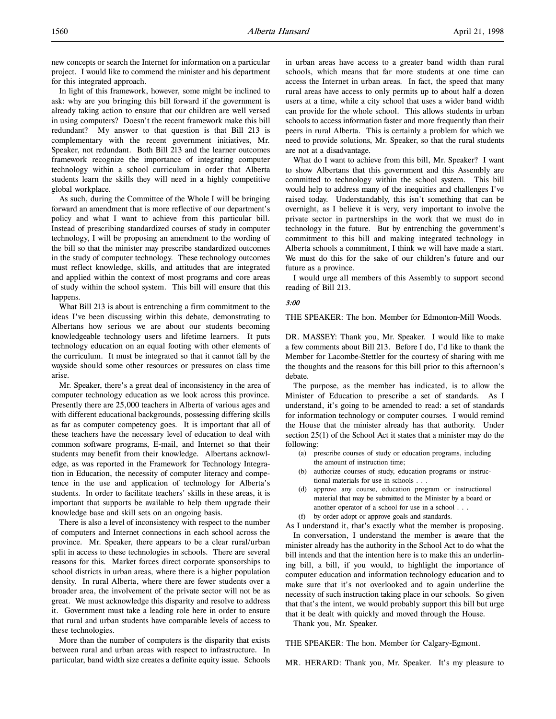new concepts or search the Internet for information on a particular project. I would like to commend the minister and his department for this integrated approach.

In light of this framework, however, some might be inclined to ask: why are you bringing this bill forward if the government is already taking action to ensure that our children are well versed in using computers? Doesn't the recent framework make this bill redundant? My answer to that question is that Bill 213 is complementary with the recent government initiatives, Mr. Speaker, not redundant. Both Bill 213 and the learner outcomes framework recognize the importance of integrating computer technology within a school curriculum in order that Alberta students learn the skills they will need in a highly competitive global workplace.

As such, during the Committee of the Whole I will be bringing forward an amendment that is more reflective of our department's policy and what I want to achieve from this particular bill. Instead of prescribing standardized courses of study in computer technology, I will be proposing an amendment to the wording of the bill so that the minister may prescribe standardized outcomes in the study of computer technology. These technology outcomes must reflect knowledge, skills, and attitudes that are integrated and applied within the context of most programs and core areas of study within the school system. This bill will ensure that this happens.

What Bill 213 is about is entrenching a firm commitment to the ideas I've been discussing within this debate, demonstrating to Albertans how serious we are about our students becoming knowledgeable technology users and lifetime learners. It puts technology education on an equal footing with other elements of the curriculum. It must be integrated so that it cannot fall by the wayside should some other resources or pressures on class time arise.

Mr. Speaker, there's a great deal of inconsistency in the area of computer technology education as we look across this province. Presently there are 25,000 teachers in Alberta of various ages and with different educational backgrounds, possessing differing skills as far as computer competency goes. It is important that all of these teachers have the necessary level of education to deal with common software programs, E-mail, and Internet so that their students may benefit from their knowledge. Albertans acknowledge, as was reported in the Framework for Technology Integration in Education, the necessity of computer literacy and competence in the use and application of technology for Alberta's students. In order to facilitate teachers' skills in these areas, it is important that supports be available to help them upgrade their knowledge base and skill sets on an ongoing basis.

There is also a level of inconsistency with respect to the number of computers and Internet connections in each school across the province. Mr. Speaker, there appears to be a clear rural/urban split in access to these technologies in schools. There are several reasons for this. Market forces direct corporate sponsorships to school districts in urban areas, where there is a higher population density. In rural Alberta, where there are fewer students over a broader area, the involvement of the private sector will not be as great. We must acknowledge this disparity and resolve to address it. Government must take a leading role here in order to ensure that rural and urban students have comparable levels of access to these technologies.

More than the number of computers is the disparity that exists between rural and urban areas with respect to infrastructure. In particular, band width size creates a definite equity issue. Schools

in urban areas have access to a greater band width than rural schools, which means that far more students at one time can access the Internet in urban areas. In fact, the speed that many rural areas have access to only permits up to about half a dozen users at a time, while a city school that uses a wider band width can provide for the whole school. This allows students in urban schools to access information faster and more frequently than their peers in rural Alberta. This is certainly a problem for which we need to provide solutions, Mr. Speaker, so that the rural students are not at a disadvantage.

What do I want to achieve from this bill, Mr. Speaker? I want to show Albertans that this government and this Assembly are committed to technology within the school system. This bill would help to address many of the inequities and challenges I've raised today. Understandably, this isn't something that can be overnight, as I believe it is very, very important to involve the private sector in partnerships in the work that we must do in technology in the future. But by entrenching the government's commitment to this bill and making integrated technology in Alberta schools a commitment, I think we will have made a start. We must do this for the sake of our children's future and our future as a province.

I would urge all members of this Assembly to support second reading of Bill 213.

#### 3:00

THE SPEAKER: The hon. Member for Edmonton-Mill Woods.

DR. MASSEY: Thank you, Mr. Speaker. I would like to make a few comments about Bill 213. Before I do, I'd like to thank the Member for Lacombe-Stettler for the courtesy of sharing with me the thoughts and the reasons for this bill prior to this afternoon's debate.

The purpose, as the member has indicated, is to allow the Minister of Education to prescribe a set of standards. As I understand, it's going to be amended to read: a set of standards for information technology or computer courses. I would remind the House that the minister already has that authority. Under section 25(1) of the School Act it states that a minister may do the following:

- (a) prescribe courses of study or education programs, including the amount of instruction time;
- (b) authorize courses of study, education programs or instructional materials for use in schools . . .
- (d) approve any course, education program or instructional material that may be submitted to the Minister by a board or another operator of a school for use in a school . . .
- (f) by order adopt or approve goals and standards.

As I understand it, that's exactly what the member is proposing.

In conversation, I understand the member is aware that the minister already has the authority in the School Act to do what the bill intends and that the intention here is to make this an underlining bill, a bill, if you would, to highlight the importance of computer education and information technology education and to make sure that it's not overlooked and to again underline the necessity of such instruction taking place in our schools. So given that that's the intent, we would probably support this bill but urge that it be dealt with quickly and moved through the House.

Thank you, Mr. Speaker.

THE SPEAKER: The hon. Member for Calgary-Egmont.

MR. HERARD: Thank you, Mr. Speaker. It's my pleasure to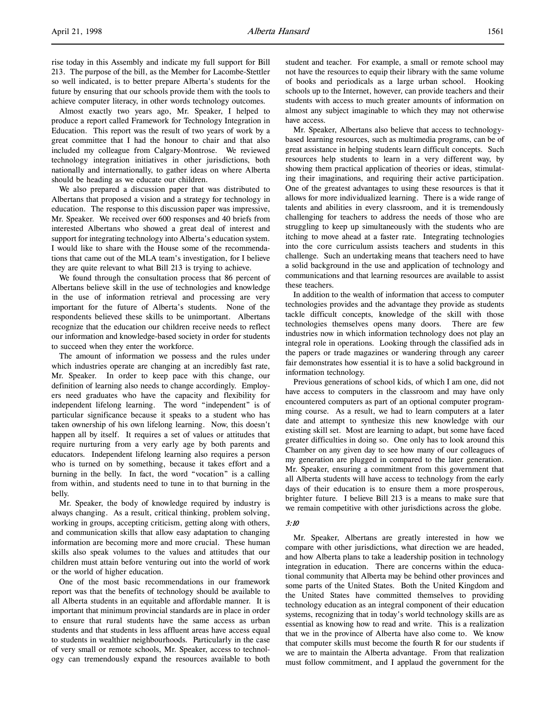rise today in this Assembly and indicate my full support for Bill 213. The purpose of the bill, as the Member for Lacombe-Stettler so well indicated, is to better prepare Alberta's students for the future by ensuring that our schools provide them with the tools to achieve computer literacy, in other words technology outcomes.

Almost exactly two years ago, Mr. Speaker, I helped to produce a report called Framework for Technology Integration in Education. This report was the result of two years of work by a great committee that I had the honour to chair and that also included my colleague from Calgary-Montrose. We reviewed technology integration initiatives in other jurisdictions, both nationally and internationally, to gather ideas on where Alberta should be heading as we educate our children.

We also prepared a discussion paper that was distributed to Albertans that proposed a vision and a strategy for technology in education. The response to this discussion paper was impressive, Mr. Speaker. We received over 600 responses and 40 briefs from interested Albertans who showed a great deal of interest and support for integrating technology into Alberta's education system. I would like to share with the House some of the recommendations that came out of the MLA team's investigation, for I believe they are quite relevant to what Bill 213 is trying to achieve.

We found through the consultation process that 86 percent of Albertans believe skill in the use of technologies and knowledge in the use of information retrieval and processing are very important for the future of Alberta's students. None of the respondents believed these skills to be unimportant. Albertans recognize that the education our children receive needs to reflect our information and knowledge-based society in order for students to succeed when they enter the workforce.

The amount of information we possess and the rules under which industries operate are changing at an incredibly fast rate, Mr. Speaker. In order to keep pace with this change, our definition of learning also needs to change accordingly. Employers need graduates who have the capacity and flexibility for independent lifelong learning. The word "independent" is of particular significance because it speaks to a student who has taken ownership of his own lifelong learning. Now, this doesn't happen all by itself. It requires a set of values or attitudes that require nurturing from a very early age by both parents and educators. Independent lifelong learning also requires a person who is turned on by something, because it takes effort and a burning in the belly. In fact, the word "vocation" is a calling from within, and students need to tune in to that burning in the belly.

Mr. Speaker, the body of knowledge required by industry is always changing. As a result, critical thinking, problem solving, working in groups, accepting criticism, getting along with others, and communication skills that allow easy adaptation to changing information are becoming more and more crucial. These human skills also speak volumes to the values and attitudes that our children must attain before venturing out into the world of work or the world of higher education.

One of the most basic recommendations in our framework report was that the benefits of technology should be available to all Alberta students in an equitable and affordable manner. It is important that minimum provincial standards are in place in order to ensure that rural students have the same access as urban students and that students in less affluent areas have access equal to students in wealthier neighbourhoods. Particularly in the case of very small or remote schools, Mr. Speaker, access to technology can tremendously expand the resources available to both

student and teacher. For example, a small or remote school may not have the resources to equip their library with the same volume of books and periodicals as a large urban school. Hooking schools up to the Internet, however, can provide teachers and their students with access to much greater amounts of information on almost any subject imaginable to which they may not otherwise have access.

Mr. Speaker, Albertans also believe that access to technologybased learning resources, such as multimedia programs, can be of great assistance in helping students learn difficult concepts. Such resources help students to learn in a very different way, by showing them practical application of theories or ideas, stimulating their imaginations, and requiring their active participation. One of the greatest advantages to using these resources is that it allows for more individualized learning. There is a wide range of talents and abilities in every classroom, and it is tremendously challenging for teachers to address the needs of those who are struggling to keep up simultaneously with the students who are itching to move ahead at a faster rate. Integrating technologies into the core curriculum assists teachers and students in this challenge. Such an undertaking means that teachers need to have a solid background in the use and application of technology and communications and that learning resources are available to assist these teachers.

In addition to the wealth of information that access to computer technologies provides and the advantage they provide as students tackle difficult concepts, knowledge of the skill with those technologies themselves opens many doors. There are few industries now in which information technology does not play an integral role in operations. Looking through the classified ads in the papers or trade magazines or wandering through any career fair demonstrates how essential it is to have a solid background in information technology.

Previous generations of school kids, of which I am one, did not have access to computers in the classroom and may have only encountered computers as part of an optional computer programming course. As a result, we had to learn computers at a later date and attempt to synthesize this new knowledge with our existing skill set. Most are learning to adapt, but some have faced greater difficulties in doing so. One only has to look around this Chamber on any given day to see how many of our colleagues of my generation are plugged in compared to the later generation. Mr. Speaker, ensuring a commitment from this government that all Alberta students will have access to technology from the early days of their education is to ensure them a more prosperous, brighter future. I believe Bill 213 is a means to make sure that we remain competitive with other jurisdictions across the globe.

# 3:10

Mr. Speaker, Albertans are greatly interested in how we compare with other jurisdictions, what direction we are headed, and how Alberta plans to take a leadership position in technology integration in education. There are concerns within the educational community that Alberta may be behind other provinces and some parts of the United States. Both the United Kingdom and the United States have committed themselves to providing technology education as an integral component of their education systems, recognizing that in today's world technology skills are as essential as knowing how to read and write. This is a realization that we in the province of Alberta have also come to. We know that computer skills must become the fourth R for our students if we are to maintain the Alberta advantage. From that realization must follow commitment, and I applaud the government for the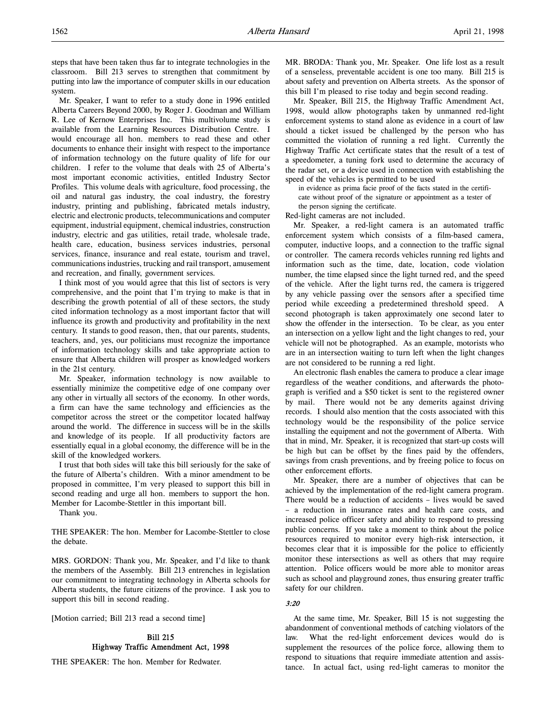steps that have been taken thus far to integrate technologies in the classroom. Bill 213 serves to strengthen that commitment by putting into law the importance of computer skills in our education system.

Mr. Speaker, I want to refer to a study done in 1996 entitled Alberta Careers Beyond 2000, by Roger J. Goodman and William R. Lee of Kernow Enterprises Inc. This multivolume study is available from the Learning Resources Distribution Centre. I would encourage all hon. members to read these and other documents to enhance their insight with respect to the importance of information technology on the future quality of life for our children. I refer to the volume that deals with 25 of Alberta's most important economic activities, entitled Industry Sector Profiles. This volume deals with agriculture, food processing, the oil and natural gas industry, the coal industry, the forestry industry, printing and publishing, fabricated metals industry, electric and electronic products, telecommunications and computer equipment, industrial equipment, chemical industries, construction industry, electric and gas utilities, retail trade, wholesale trade, health care, education, business services industries, personal services, finance, insurance and real estate, tourism and travel, communications industries, trucking and rail transport, amusement and recreation, and finally, government services.

I think most of you would agree that this list of sectors is very comprehensive, and the point that I'm trying to make is that in describing the growth potential of all of these sectors, the study cited information technology as a most important factor that will influence its growth and productivity and profitability in the next century. It stands to good reason, then, that our parents, students, teachers, and, yes, our politicians must recognize the importance of information technology skills and take appropriate action to ensure that Alberta children will prosper as knowledged workers in the 21st century.

Mr. Speaker, information technology is now available to essentially minimize the competitive edge of one company over any other in virtually all sectors of the economy. In other words, a firm can have the same technology and efficiencies as the competitor across the street or the competitor located halfway around the world. The difference in success will be in the skills and knowledge of its people. If all productivity factors are essentially equal in a global economy, the difference will be in the skill of the knowledged workers.

I trust that both sides will take this bill seriously for the sake of the future of Alberta's children. With a minor amendment to be proposed in committee, I'm very pleased to support this bill in second reading and urge all hon. members to support the hon. Member for Lacombe-Stettler in this important bill.

Thank you.

THE SPEAKER: The hon. Member for Lacombe-Stettler to close the debate.

MRS. GORDON: Thank you, Mr. Speaker, and I'd like to thank the members of the Assembly. Bill 213 entrenches in legislation our commitment to integrating technology in Alberta schools for Alberta students, the future citizens of the province. I ask you to support this bill in second reading.

[Motion carried; Bill 213 read a second time]

# Bill 215 Highway Traffic Amendment Act, 1998

THE SPEAKER: The hon. Member for Redwater.

MR. BRODA: Thank you, Mr. Speaker. One life lost as a result of a senseless, preventable accident is one too many. Bill 215 is about safety and prevention on Alberta streets. As the sponsor of this bill I'm pleased to rise today and begin second reading.

Mr. Speaker, Bill 215, the Highway Traffic Amendment Act, 1998, would allow photographs taken by unmanned red-light enforcement systems to stand alone as evidence in a court of law should a ticket issued be challenged by the person who has committed the violation of running a red light. Currently the Highway Traffic Act certificate states that the result of a test of a speedometer, a tuning fork used to determine the accuracy of the radar set, or a device used in connection with establishing the speed of the vehicles is permitted to be used

in evidence as prima facie proof of the facts stated in the certificate without proof of the signature or appointment as a tester of the person signing the certificate.

Red-light cameras are not included.

Mr. Speaker, a red-light camera is an automated traffic enforcement system which consists of a film-based camera, computer, inductive loops, and a connection to the traffic signal or controller. The camera records vehicles running red lights and information such as the time, date, location, code violation number, the time elapsed since the light turned red, and the speed of the vehicle. After the light turns red, the camera is triggered by any vehicle passing over the sensors after a specified time period while exceeding a predetermined threshold speed. A second photograph is taken approximately one second later to show the offender in the intersection. To be clear, as you enter an intersection on a yellow light and the light changes to red, your vehicle will not be photographed. As an example, motorists who are in an intersection waiting to turn left when the light changes are not considered to be running a red light.

An electronic flash enables the camera to produce a clear image regardless of the weather conditions, and afterwards the photograph is verified and a \$50 ticket is sent to the registered owner by mail. There would not be any demerits against driving records. I should also mention that the costs associated with this technology would be the responsibility of the police service installing the equipment and not the government of Alberta. With that in mind, Mr. Speaker, it is recognized that start-up costs will be high but can be offset by the fines paid by the offenders, savings from crash preventions, and by freeing police to focus on other enforcement efforts.

Mr. Speaker, there are a number of objectives that can be achieved by the implementation of the red-light camera program. There would be a reduction of accidents – lives would be saved – a reduction in insurance rates and health care costs, and increased police officer safety and ability to respond to pressing public concerns. If you take a moment to think about the police resources required to monitor every high-risk intersection, it becomes clear that it is impossible for the police to efficiently monitor these intersections as well as others that may require attention. Police officers would be more able to monitor areas such as school and playground zones, thus ensuring greater traffic safety for our children.

#### 3:20

At the same time, Mr. Speaker, Bill 15 is not suggesting the abandonment of conventional methods of catching violators of the law. What the red-light enforcement devices would do is supplement the resources of the police force, allowing them to respond to situations that require immediate attention and assistance. In actual fact, using red-light cameras to monitor the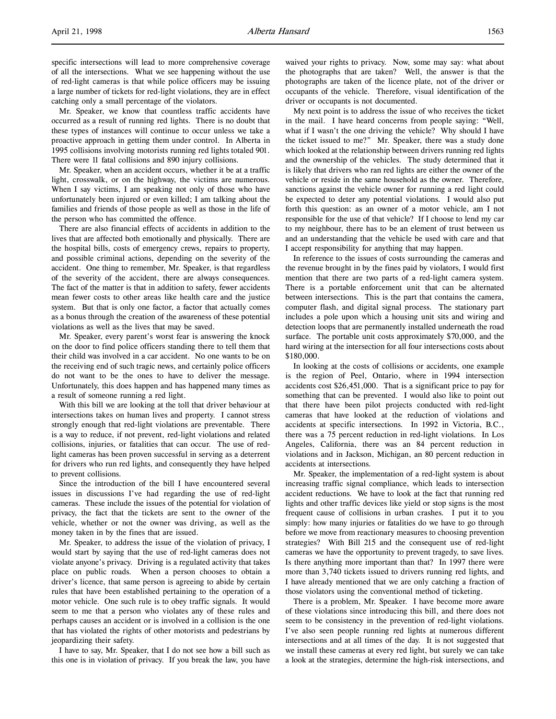specific intersections will lead to more comprehensive coverage of all the intersections. What we see happening without the use of red-light cameras is that while police officers may be issuing a large number of tickets for red-light violations, they are in effect catching only a small percentage of the violators.

Mr. Speaker, we know that countless traffic accidents have occurred as a result of running red lights. There is no doubt that these types of instances will continue to occur unless we take a proactive approach in getting them under control. In Alberta in 1995 collisions involving motorists running red lights totaled 901. There were 11 fatal collisions and 890 injury collisions.

Mr. Speaker, when an accident occurs, whether it be at a traffic light, crosswalk, or on the highway, the victims are numerous. When I say victims, I am speaking not only of those who have unfortunately been injured or even killed; I am talking about the families and friends of those people as well as those in the life of the person who has committed the offence.

There are also financial effects of accidents in addition to the lives that are affected both emotionally and physically. There are the hospital bills, costs of emergency crews, repairs to property, and possible criminal actions, depending on the severity of the accident. One thing to remember, Mr. Speaker, is that regardless of the severity of the accident, there are always consequences. The fact of the matter is that in addition to safety, fewer accidents mean fewer costs to other areas like health care and the justice system. But that is only one factor, a factor that actually comes as a bonus through the creation of the awareness of these potential violations as well as the lives that may be saved.

Mr. Speaker, every parent's worst fear is answering the knock on the door to find police officers standing there to tell them that their child was involved in a car accident. No one wants to be on the receiving end of such tragic news, and certainly police officers do not want to be the ones to have to deliver the message. Unfortunately, this does happen and has happened many times as a result of someone running a red light.

With this bill we are looking at the toll that driver behaviour at intersections takes on human lives and property. I cannot stress strongly enough that red-light violations are preventable. There is a way to reduce, if not prevent, red-light violations and related collisions, injuries, or fatalities that can occur. The use of redlight cameras has been proven successful in serving as a deterrent for drivers who run red lights, and consequently they have helped to prevent collisions.

Since the introduction of the bill I have encountered several issues in discussions I've had regarding the use of red-light cameras. These include the issues of the potential for violation of privacy, the fact that the tickets are sent to the owner of the vehicle, whether or not the owner was driving, as well as the money taken in by the fines that are issued.

Mr. Speaker, to address the issue of the violation of privacy, I would start by saying that the use of red-light cameras does not violate anyone's privacy. Driving is a regulated activity that takes place on public roads. When a person chooses to obtain a driver's licence, that same person is agreeing to abide by certain rules that have been established pertaining to the operation of a motor vehicle. One such rule is to obey traffic signals. It would seem to me that a person who violates any of these rules and perhaps causes an accident or is involved in a collision is the one that has violated the rights of other motorists and pedestrians by jeopardizing their safety.

I have to say, Mr. Speaker, that I do not see how a bill such as this one is in violation of privacy. If you break the law, you have waived your rights to privacy. Now, some may say: what about the photographs that are taken? Well, the answer is that the photographs are taken of the licence plate, not of the driver or occupants of the vehicle. Therefore, visual identification of the driver or occupants is not documented.

My next point is to address the issue of who receives the ticket in the mail. I have heard concerns from people saying: "Well, what if I wasn't the one driving the vehicle? Why should I have the ticket issued to me?" Mr. Speaker, there was a study done which looked at the relationship between drivers running red lights and the ownership of the vehicles. The study determined that it is likely that drivers who ran red lights are either the owner of the vehicle or reside in the same household as the owner. Therefore, sanctions against the vehicle owner for running a red light could be expected to deter any potential violations. I would also put forth this question: as an owner of a motor vehicle, am I not responsible for the use of that vehicle? If I choose to lend my car to my neighbour, there has to be an element of trust between us and an understanding that the vehicle be used with care and that I accept responsibility for anything that may happen.

In reference to the issues of costs surrounding the cameras and the revenue brought in by the fines paid by violators, I would first mention that there are two parts of a red-light camera system. There is a portable enforcement unit that can be alternated between intersections. This is the part that contains the camera, computer flash, and digital signal process. The stationary part includes a pole upon which a housing unit sits and wiring and detection loops that are permanently installed underneath the road surface. The portable unit costs approximately \$70,000, and the hard wiring at the intersection for all four intersections costs about \$180,000.

In looking at the costs of collisions or accidents, one example is the region of Peel, Ontario, where in 1994 intersection accidents cost \$26,451,000. That is a significant price to pay for something that can be prevented. I would also like to point out that there have been pilot projects conducted with red-light cameras that have looked at the reduction of violations and accidents at specific intersections. In 1992 in Victoria, B.C., there was a 75 percent reduction in red-light violations. In Los Angeles, California, there was an 84 percent reduction in violations and in Jackson, Michigan, an 80 percent reduction in accidents at intersections.

Mr. Speaker, the implementation of a red-light system is about increasing traffic signal compliance, which leads to intersection accident reductions. We have to look at the fact that running red lights and other traffic devices like yield or stop signs is the most frequent cause of collisions in urban crashes. I put it to you simply: how many injuries or fatalities do we have to go through before we move from reactionary measures to choosing prevention strategies? With Bill 215 and the consequent use of red-light cameras we have the opportunity to prevent tragedy, to save lives. Is there anything more important than that? In 1997 there were more than 3,740 tickets issued to drivers running red lights, and I have already mentioned that we are only catching a fraction of those violators using the conventional method of ticketing.

There is a problem, Mr. Speaker. I have become more aware of these violations since introducing this bill, and there does not seem to be consistency in the prevention of red-light violations. I've also seen people running red lights at numerous different intersections and at all times of the day. It is not suggested that we install these cameras at every red light, but surely we can take a look at the strategies, determine the high-risk intersections, and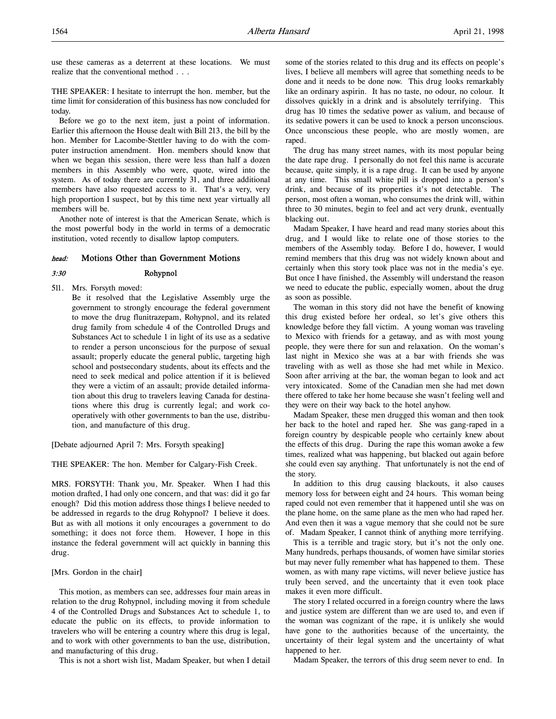use these cameras as a deterrent at these locations. We must realize that the conventional method . . .

THE SPEAKER: I hesitate to interrupt the hon. member, but the time limit for consideration of this business has now concluded for today.

Before we go to the next item, just a point of information. Earlier this afternoon the House dealt with Bill 213, the bill by the hon. Member for Lacombe-Stettler having to do with the computer instruction amendment. Hon. members should know that when we began this session, there were less than half a dozen members in this Assembly who were, quote, wired into the system. As of today there are currently 31, and three additional members have also requested access to it. That's a very, very high proportion I suspect, but by this time next year virtually all members will be.

Another note of interest is that the American Senate, which is the most powerful body in the world in terms of a democratic institution, voted recently to disallow laptop computers.

#### head: Motions Other than Government Motions

# 3:30 Rohypnol

511. Mrs. Forsyth moved: Be it resolved that the Legislative Assembly urge the government to strongly encourage the federal government to move the drug flunitrazepam, Rohypnol, and its related drug family from schedule 4 of the Controlled Drugs and Substances Act to schedule 1 in light of its use as a sedative to render a person unconscious for the purpose of sexual assault; properly educate the general public, targeting high school and postsecondary students, about its effects and the need to seek medical and police attention if it is believed they were a victim of an assault; provide detailed information about this drug to travelers leaving Canada for destina-

tions where this drug is currently legal; and work cooperatively with other governments to ban the use, distribution, and manufacture of this drug.

[Debate adjourned April 7: Mrs. Forsyth speaking]

THE SPEAKER: The hon. Member for Calgary-Fish Creek.

MRS. FORSYTH: Thank you, Mr. Speaker. When I had this motion drafted, I had only one concern, and that was: did it go far enough? Did this motion address those things I believe needed to be addressed in regards to the drug Rohypnol? I believe it does. But as with all motions it only encourages a government to do something; it does not force them. However, I hope in this instance the federal government will act quickly in banning this drug.

#### [Mrs. Gordon in the chair]

This motion, as members can see, addresses four main areas in relation to the drug Rohypnol, including moving it from schedule 4 of the Controlled Drugs and Substances Act to schedule 1, to educate the public on its effects, to provide information to travelers who will be entering a country where this drug is legal, and to work with other governments to ban the use, distribution, and manufacturing of this drug.

This is not a short wish list, Madam Speaker, but when I detail

some of the stories related to this drug and its effects on people's lives, I believe all members will agree that something needs to be done and it needs to be done now. This drug looks remarkably like an ordinary aspirin. It has no taste, no odour, no colour. It dissolves quickly in a drink and is absolutely terrifying. This drug has 10 times the sedative power as valium, and because of its sedative powers it can be used to knock a person unconscious. Once unconscious these people, who are mostly women, are raped.

The drug has many street names, with its most popular being the date rape drug. I personally do not feel this name is accurate because, quite simply, it is a rape drug. It can be used by anyone at any time. This small white pill is dropped into a person's drink, and because of its properties it's not detectable. The person, most often a woman, who consumes the drink will, within three to 30 minutes, begin to feel and act very drunk, eventually blacking out.

Madam Speaker, I have heard and read many stories about this drug, and I would like to relate one of those stories to the members of the Assembly today. Before I do, however, I would remind members that this drug was not widely known about and certainly when this story took place was not in the media's eye. But once I have finished, the Assembly will understand the reason we need to educate the public, especially women, about the drug as soon as possible.

The woman in this story did not have the benefit of knowing this drug existed before her ordeal, so let's give others this knowledge before they fall victim. A young woman was traveling to Mexico with friends for a getaway, and as with most young people, they were there for sun and relaxation. On the woman's last night in Mexico she was at a bar with friends she was traveling with as well as those she had met while in Mexico. Soon after arriving at the bar, the woman began to look and act very intoxicated. Some of the Canadian men she had met down there offered to take her home because she wasn't feeling well and they were on their way back to the hotel anyhow.

Madam Speaker, these men drugged this woman and then took her back to the hotel and raped her. She was gang-raped in a foreign country by despicable people who certainly knew about the effects of this drug. During the rape this woman awoke a few times, realized what was happening, but blacked out again before she could even say anything. That unfortunately is not the end of the story.

In addition to this drug causing blackouts, it also causes memory loss for between eight and 24 hours. This woman being raped could not even remember that it happened until she was on the plane home, on the same plane as the men who had raped her. And even then it was a vague memory that she could not be sure of. Madam Speaker, I cannot think of anything more terrifying.

This is a terrible and tragic story, but it's not the only one. Many hundreds, perhaps thousands, of women have similar stories but may never fully remember what has happened to them. These women, as with many rape victims, will never believe justice has truly been served, and the uncertainty that it even took place makes it even more difficult.

The story I related occurred in a foreign country where the laws and justice system are different than we are used to, and even if the woman was cognizant of the rape, it is unlikely she would have gone to the authorities because of the uncertainty, the uncertainty of their legal system and the uncertainty of what happened to her.

Madam Speaker, the terrors of this drug seem never to end. In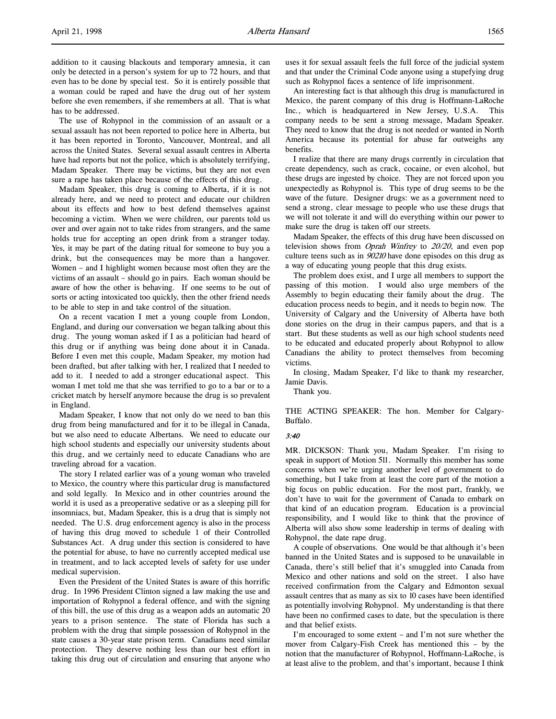addition to it causing blackouts and temporary amnesia, it can only be detected in a person's system for up to 72 hours, and that even has to be done by special test. So it is entirely possible that a woman could be raped and have the drug out of her system before she even remembers, if she remembers at all. That is what has to be addressed.

The use of Rohypnol in the commission of an assault or a sexual assault has not been reported to police here in Alberta, but it has been reported in Toronto, Vancouver, Montreal, and all across the United States. Several sexual assault centres in Alberta have had reports but not the police, which is absolutely terrifying, Madam Speaker. There may be victims, but they are not even sure a rape has taken place because of the effects of this drug.

Madam Speaker, this drug is coming to Alberta, if it is not already here, and we need to protect and educate our children about its effects and how to best defend themselves against becoming a victim. When we were children, our parents told us over and over again not to take rides from strangers, and the same holds true for accepting an open drink from a stranger today. Yes, it may be part of the dating ritual for someone to buy you a drink, but the consequences may be more than a hangover. Women – and I highlight women because most often they are the victims of an assault – should go in pairs. Each woman should be aware of how the other is behaving. If one seems to be out of sorts or acting intoxicated too quickly, then the other friend needs to be able to step in and take control of the situation.

On a recent vacation I met a young couple from London, England, and during our conversation we began talking about this drug. The young woman asked if I as a politician had heard of this drug or if anything was being done about it in Canada. Before I even met this couple, Madam Speaker, my motion had been drafted, but after talking with her, I realized that I needed to add to it. I needed to add a stronger educational aspect. This woman I met told me that she was terrified to go to a bar or to a cricket match by herself anymore because the drug is so prevalent in England.

Madam Speaker, I know that not only do we need to ban this drug from being manufactured and for it to be illegal in Canada, but we also need to educate Albertans. We need to educate our high school students and especially our university students about this drug, and we certainly need to educate Canadians who are traveling abroad for a vacation.

The story I related earlier was of a young woman who traveled to Mexico, the country where this particular drug is manufactured and sold legally. In Mexico and in other countries around the world it is used as a preoperative sedative or as a sleeping pill for insomniacs, but, Madam Speaker, this is a drug that is simply not needed. The U.S. drug enforcement agency is also in the process of having this drug moved to schedule 1 of their Controlled Substances Act. A drug under this section is considered to have the potential for abuse, to have no currently accepted medical use in treatment, and to lack accepted levels of safety for use under medical supervision.

Even the President of the United States is aware of this horrific drug. In 1996 President Clinton signed a law making the use and importation of Rohypnol a federal offence, and with the signing of this bill, the use of this drug as a weapon adds an automatic 20 years to a prison sentence. The state of Florida has such a problem with the drug that simple possession of Rohypnol in the state causes a 30-year state prison term. Canadians need similar protection. They deserve nothing less than our best effort in taking this drug out of circulation and ensuring that anyone who

uses it for sexual assault feels the full force of the judicial system and that under the Criminal Code anyone using a stupefying drug such as Rohypnol faces a sentence of life imprisonment.

An interesting fact is that although this drug is manufactured in Mexico, the parent company of this drug is Hoffmann-LaRoche Inc., which is headquartered in New Jersey, U.S.A. This company needs to be sent a strong message, Madam Speaker. They need to know that the drug is not needed or wanted in North America because its potential for abuse far outweighs any benefits.

I realize that there are many drugs currently in circulation that create dependency, such as crack, cocaine, or even alcohol, but these drugs are ingested by choice. They are not forced upon you unexpectedly as Rohypnol is. This type of drug seems to be the wave of the future. Designer drugs: we as a government need to send a strong, clear message to people who use these drugs that we will not tolerate it and will do everything within our power to make sure the drug is taken off our streets.

Madam Speaker, the effects of this drug have been discussed on television shows from *Oprah Winfrey* to  $20/20$ , and even pop culture teens such as in 90210 have done episodes on this drug as a way of educating young people that this drug exists.

The problem does exist, and I urge all members to support the passing of this motion. I would also urge members of the Assembly to begin educating their family about the drug. The education process needs to begin, and it needs to begin now. The University of Calgary and the University of Alberta have both done stories on the drug in their campus papers, and that is a start. But these students as well as our high school students need to be educated and educated properly about Rohypnol to allow Canadians the ability to protect themselves from becoming victims.

In closing, Madam Speaker, I'd like to thank my researcher, Jamie Davis.

Thank you.

THE ACTING SPEAKER: The hon. Member for Calgary-Buffalo.

#### 3:40

MR. DICKSON: Thank you, Madam Speaker. I'm rising to speak in support of Motion 511. Normally this member has some concerns when we're urging another level of government to do something, but I take from at least the core part of the motion a big focus on public education. For the most part, frankly, we don't have to wait for the government of Canada to embark on that kind of an education program. Education is a provincial responsibility, and I would like to think that the province of Alberta will also show some leadership in terms of dealing with Rohypnol, the date rape drug.

A couple of observations. One would be that although it's been banned in the United States and is supposed to be unavailable in Canada, there's still belief that it's smuggled into Canada from Mexico and other nations and sold on the street. I also have received confirmation from the Calgary and Edmonton sexual assault centres that as many as six to 10 cases have been identified as potentially involving Rohypnol. My understanding is that there have been no confirmed cases to date, but the speculation is there and that belief exists.

I'm encouraged to some extent – and I'm not sure whether the mover from Calgary-Fish Creek has mentioned this – by the notion that the manufacturer of Rohypnol, Hoffmann-LaRoche, is at least alive to the problem, and that's important, because I think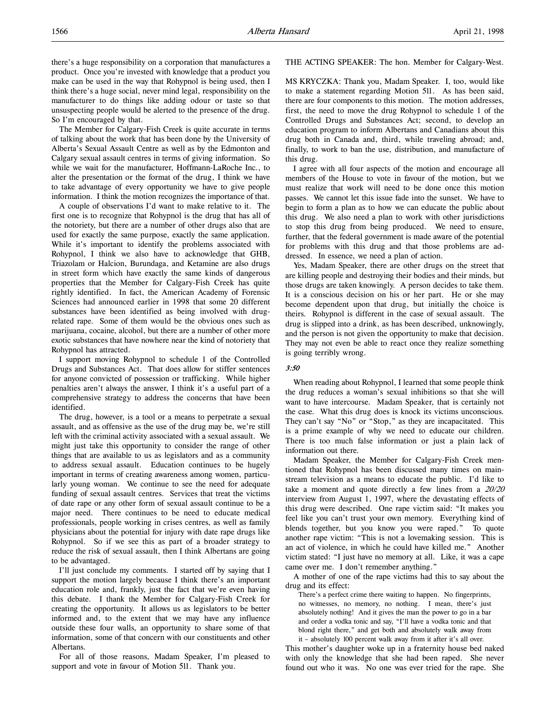there's a huge responsibility on a corporation that manufactures a product. Once you're invested with knowledge that a product you make can be used in the way that Rohypnol is being used, then I think there's a huge social, never mind legal, responsibility on the manufacturer to do things like adding odour or taste so that unsuspecting people would be alerted to the presence of the drug. So I'm encouraged by that.

The Member for Calgary-Fish Creek is quite accurate in terms of talking about the work that has been done by the University of Alberta's Sexual Assault Centre as well as by the Edmonton and Calgary sexual assault centres in terms of giving information. So while we wait for the manufacturer, Hoffmann-LaRoche Inc., to alter the presentation or the format of the drug, I think we have to take advantage of every opportunity we have to give people information. I think the motion recognizes the importance of that.

A couple of observations I'd want to make relative to it. The first one is to recognize that Rohypnol is the drug that has all of the notoriety, but there are a number of other drugs also that are used for exactly the same purpose, exactly the same application. While it's important to identify the problems associated with Rohypnol, I think we also have to acknowledge that GHB, Triazolam or Halcion, Burundaga, and Ketamine are also drugs in street form which have exactly the same kinds of dangerous properties that the Member for Calgary-Fish Creek has quite rightly identified. In fact, the American Academy of Forensic Sciences had announced earlier in 1998 that some 20 different substances have been identified as being involved with drugrelated rape. Some of them would be the obvious ones such as marijuana, cocaine, alcohol, but there are a number of other more exotic substances that have nowhere near the kind of notoriety that Rohypnol has attracted.

I support moving Rohypnol to schedule 1 of the Controlled Drugs and Substances Act. That does allow for stiffer sentences for anyone convicted of possession or trafficking. While higher penalties aren't always the answer, I think it's a useful part of a comprehensive strategy to address the concerns that have been identified.

The drug, however, is a tool or a means to perpetrate a sexual assault, and as offensive as the use of the drug may be, we're still left with the criminal activity associated with a sexual assault. We might just take this opportunity to consider the range of other things that are available to us as legislators and as a community to address sexual assault. Education continues to be hugely important in terms of creating awareness among women, particularly young woman. We continue to see the need for adequate funding of sexual assault centres. Services that treat the victims of date rape or any other form of sexual assault continue to be a major need. There continues to be need to educate medical professionals, people working in crises centres, as well as family physicians about the potential for injury with date rape drugs like Rohypnol. So if we see this as part of a broader strategy to reduce the risk of sexual assault, then I think Albertans are going to be advantaged.

I'll just conclude my comments. I started off by saying that I support the motion largely because I think there's an important education role and, frankly, just the fact that we're even having this debate. I thank the Member for Calgary-Fish Creek for creating the opportunity. It allows us as legislators to be better informed and, to the extent that we may have any influence outside these four walls, an opportunity to share some of that information, some of that concern with our constituents and other Albertans.

For all of those reasons, Madam Speaker, I'm pleased to support and vote in favour of Motion 511. Thank you.

THE ACTING SPEAKER: The hon. Member for Calgary-West.

MS KRYCZKA: Thank you, Madam Speaker. I, too, would like to make a statement regarding Motion 511. As has been said, there are four components to this motion. The motion addresses, first, the need to move the drug Rohypnol to schedule 1 of the Controlled Drugs and Substances Act; second, to develop an education program to inform Albertans and Canadians about this drug both in Canada and, third, while traveling abroad; and, finally, to work to ban the use, distribution, and manufacture of this drug.

I agree with all four aspects of the motion and encourage all members of the House to vote in favour of the motion, but we must realize that work will need to be done once this motion passes. We cannot let this issue fade into the sunset. We have to begin to form a plan as to how we can educate the public about this drug. We also need a plan to work with other jurisdictions to stop this drug from being produced. We need to ensure, further, that the federal government is made aware of the potential for problems with this drug and that those problems are addressed. In essence, we need a plan of action.

Yes, Madam Speaker, there are other drugs on the street that are killing people and destroying their bodies and their minds, but those drugs are taken knowingly. A person decides to take them. It is a conscious decision on his or her part. He or she may become dependent upon that drug, but initially the choice is theirs. Rohypnol is different in the case of sexual assault. The drug is slipped into a drink, as has been described, unknowingly, and the person is not given the opportunity to make that decision. They may not even be able to react once they realize something is going terribly wrong.

# 3:50

When reading about Rohypnol, I learned that some people think the drug reduces a woman's sexual inhibitions so that she will want to have intercourse. Madam Speaker, that is certainly not the case. What this drug does is knock its victims unconscious. They can't say "No" or "Stop," as they are incapacitated. This is a prime example of why we need to educate our children. There is too much false information or just a plain lack of information out there.

Madam Speaker, the Member for Calgary-Fish Creek mentioned that Rohypnol has been discussed many times on mainstream television as a means to educate the public. I'd like to take a moment and quote directly a few lines from a 20/20 interview from August 1, 1997, where the devastating effects of this drug were described. One rape victim said: "It makes you feel like you can't trust your own memory. Everything kind of blends together, but you know you were raped." To quote another rape victim: "This is not a lovemaking session. This is an act of violence, in which he could have killed me." Another victim stated: "I just have no memory at all. Like, it was a cape came over me. I don't remember anything."

A mother of one of the rape victims had this to say about the drug and its effect:

There's a perfect crime there waiting to happen. No fingerprints, no witnesses, no memory, no nothing. I mean, there's just absolutely nothing! And it gives the man the power to go in a bar and order a vodka tonic and say, "I'll have a vodka tonic and that blond right there," and get both and absolutely walk away from it – absolutely 100 percent walk away from it after it's all over.

This mother's daughter woke up in a fraternity house bed naked with only the knowledge that she had been raped. She never found out who it was. No one was ever tried for the rape. She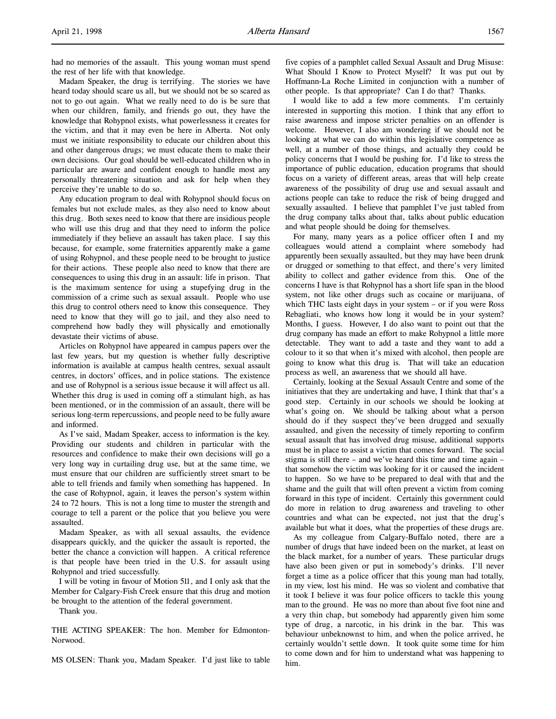had no memories of the assault. This young woman must spend the rest of her life with that knowledge.

Madam Speaker, the drug is terrifying. The stories we have heard today should scare us all, but we should not be so scared as not to go out again. What we really need to do is be sure that when our children, family, and friends go out, they have the knowledge that Rohypnol exists, what powerlessness it creates for the victim, and that it may even be here in Alberta. Not only must we initiate responsibility to educate our children about this and other dangerous drugs; we must educate them to make their own decisions. Our goal should be well-educated children who in particular are aware and confident enough to handle most any personally threatening situation and ask for help when they perceive they're unable to do so.

Any education program to deal with Rohypnol should focus on females but not exclude males, as they also need to know about this drug. Both sexes need to know that there are insidious people who will use this drug and that they need to inform the police immediately if they believe an assault has taken place. I say this because, for example, some fraternities apparently make a game of using Rohypnol, and these people need to be brought to justice for their actions. These people also need to know that there are consequences to using this drug in an assault: life in prison. That is the maximum sentence for using a stupefying drug in the commission of a crime such as sexual assault. People who use this drug to control others need to know this consequence. They need to know that they will go to jail, and they also need to comprehend how badly they will physically and emotionally devastate their victims of abuse.

Articles on Rohypnol have appeared in campus papers over the last few years, but my question is whether fully descriptive information is available at campus health centres, sexual assault centres, in doctors' offices, and in police stations. The existence and use of Rohypnol is a serious issue because it will affect us all. Whether this drug is used in coming off a stimulant high, as has been mentioned, or in the commission of an assault, there will be serious long-term repercussions, and people need to be fully aware and informed.

As I've said, Madam Speaker, access to information is the key. Providing our students and children in particular with the resources and confidence to make their own decisions will go a very long way in curtailing drug use, but at the same time, we must ensure that our children are sufficiently street smart to be able to tell friends and family when something has happened. In the case of Rohypnol, again, it leaves the person's system within 24 to 72 hours. This is not a long time to muster the strength and courage to tell a parent or the police that you believe you were assaulted.

Madam Speaker, as with all sexual assaults, the evidence disappears quickly, and the quicker the assault is reported, the better the chance a conviction will happen. A critical reference is that people have been tried in the U.S. for assault using Rohypnol and tried successfully.

I will be voting in favour of Motion 511, and I only ask that the Member for Calgary-Fish Creek ensure that this drug and motion be brought to the attention of the federal government.

Thank you.

THE ACTING SPEAKER: The hon. Member for Edmonton-Norwood.

MS OLSEN: Thank you, Madam Speaker. I'd just like to table

five copies of a pamphlet called Sexual Assault and Drug Misuse: What Should I Know to Protect Myself? It was put out by Hoffmann-La Roche Limited in conjunction with a number of other people. Is that appropriate? Can I do that? Thanks.

I would like to add a few more comments. I'm certainly interested in supporting this motion. I think that any effort to raise awareness and impose stricter penalties on an offender is welcome. However, I also am wondering if we should not be looking at what we can do within this legislative competence as well, at a number of those things, and actually they could be policy concerns that I would be pushing for. I'd like to stress the importance of public education, education programs that should focus on a variety of different areas, areas that will help create awareness of the possibility of drug use and sexual assault and actions people can take to reduce the risk of being drugged and sexually assaulted. I believe that pamphlet I've just tabled from the drug company talks about that, talks about public education and what people should be doing for themselves.

For many, many years as a police officer often I and my colleagues would attend a complaint where somebody had apparently been sexually assaulted, but they may have been drunk or drugged or something to that effect, and there's very limited ability to collect and gather evidence from this. One of the concerns I have is that Rohypnol has a short life span in the blood system, not like other drugs such as cocaine or marijuana, of which THC lasts eight days in your system – or if you were Ross Rebagliati, who knows how long it would be in your system? Months, I guess. However, I do also want to point out that the drug company has made an effort to make Rohypnol a little more detectable. They want to add a taste and they want to add a colour to it so that when it's mixed with alcohol, then people are going to know what this drug is. That will take an education process as well, an awareness that we should all have.

Certainly, looking at the Sexual Assault Centre and some of the initiatives that they are undertaking and have, I think that that's a good step. Certainly in our schools we should be looking at what's going on. We should be talking about what a person should do if they suspect they've been drugged and sexually assaulted, and given the necessity of timely reporting to confirm sexual assault that has involved drug misuse, additional supports must be in place to assist a victim that comes forward. The social stigma is still there – and we've heard this time and time again – that somehow the victim was looking for it or caused the incident to happen. So we have to be prepared to deal with that and the shame and the guilt that will often prevent a victim from coming forward in this type of incident. Certainly this government could do more in relation to drug awareness and traveling to other countries and what can be expected, not just that the drug's available but what it does, what the properties of these drugs are.

As my colleague from Calgary-Buffalo noted, there are a number of drugs that have indeed been on the market, at least on the black market, for a number of years. These particular drugs have also been given or put in somebody's drinks. I'll never forget a time as a police officer that this young man had totally, in my view, lost his mind. He was so violent and combative that it took I believe it was four police officers to tackle this young man to the ground. He was no more than about five foot nine and a very thin chap, but somebody had apparently given him some type of drug, a narcotic, in his drink in the bar. This was behaviour unbeknownst to him, and when the police arrived, he certainly wouldn't settle down. It took quite some time for him to come down and for him to understand what was happening to him.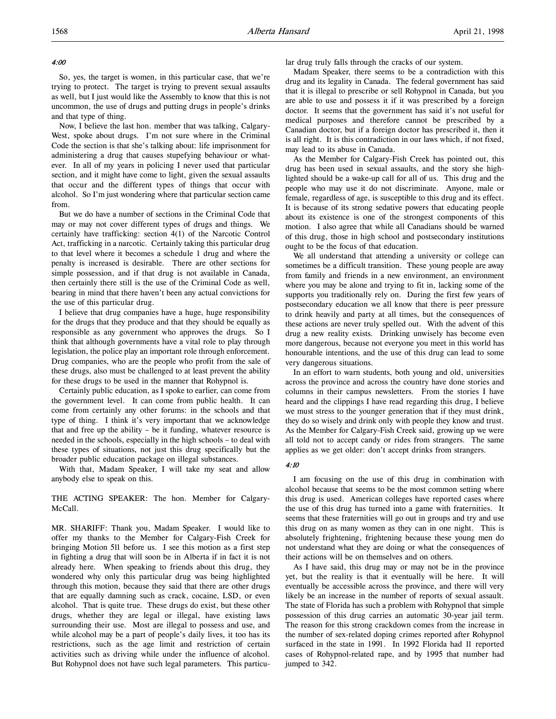#### 4:00

So, yes, the target is women, in this particular case, that we're trying to protect. The target is trying to prevent sexual assaults as well, but I just would like the Assembly to know that this is not uncommon, the use of drugs and putting drugs in people's drinks and that type of thing.

Now, I believe the last hon. member that was talking, Calgary-West, spoke about drugs. I'm not sure where in the Criminal Code the section is that she's talking about: life imprisonment for administering a drug that causes stupefying behaviour or whatever. In all of my years in policing I never used that particular section, and it might have come to light, given the sexual assaults that occur and the different types of things that occur with alcohol. So I'm just wondering where that particular section came from.

But we do have a number of sections in the Criminal Code that may or may not cover different types of drugs and things. We certainly have trafficking: section 4(1) of the Narcotic Control Act, trafficking in a narcotic. Certainly taking this particular drug to that level where it becomes a schedule 1 drug and where the penalty is increased is desirable. There are other sections for simple possession, and if that drug is not available in Canada, then certainly there still is the use of the Criminal Code as well, bearing in mind that there haven't been any actual convictions for the use of this particular drug.

I believe that drug companies have a huge, huge responsibility for the drugs that they produce and that they should be equally as responsible as any government who approves the drugs. So I think that although governments have a vital role to play through legislation, the police play an important role through enforcement. Drug companies, who are the people who profit from the sale of these drugs, also must be challenged to at least prevent the ability for these drugs to be used in the manner that Rohypnol is.

Certainly public education, as I spoke to earlier, can come from the government level. It can come from public health. It can come from certainly any other forums: in the schools and that type of thing. I think it's very important that we acknowledge that and free up the ability – be it funding, whatever resource is needed in the schools, especially in the high schools – to deal with these types of situations, not just this drug specifically but the broader public education package on illegal substances.

With that, Madam Speaker, I will take my seat and allow anybody else to speak on this.

THE ACTING SPEAKER: The hon. Member for Calgary-McCall.

MR. SHARIFF: Thank you, Madam Speaker. I would like to offer my thanks to the Member for Calgary-Fish Creek for bringing Motion 511 before us. I see this motion as a first step in fighting a drug that will soon be in Alberta if in fact it is not already here. When speaking to friends about this drug, they wondered why only this particular drug was being highlighted through this motion, because they said that there are other drugs that are equally damning such as crack, cocaine, LSD, or even alcohol. That is quite true. These drugs do exist, but these other drugs, whether they are legal or illegal, have existing laws surrounding their use. Most are illegal to possess and use, and while alcohol may be a part of people's daily lives, it too has its restrictions, such as the age limit and restriction of certain activities such as driving while under the influence of alcohol. But Rohypnol does not have such legal parameters. This particular drug truly falls through the cracks of our system.

Madam Speaker, there seems to be a contradiction with this drug and its legality in Canada. The federal government has said that it is illegal to prescribe or sell Rohypnol in Canada, but you are able to use and possess it if it was prescribed by a foreign doctor. It seems that the government has said it's not useful for medical purposes and therefore cannot be prescribed by a Canadian doctor, but if a foreign doctor has prescribed it, then it is all right. It is this contradiction in our laws which, if not fixed, may lead to its abuse in Canada.

As the Member for Calgary-Fish Creek has pointed out, this drug has been used in sexual assaults, and the story she highlighted should be a wake-up call for all of us. This drug and the people who may use it do not discriminate. Anyone, male or female, regardless of age, is susceptible to this drug and its effect. It is because of its strong sedative powers that educating people about its existence is one of the strongest components of this motion. I also agree that while all Canadians should be warned of this drug, those in high school and postsecondary institutions ought to be the focus of that education.

We all understand that attending a university or college can sometimes be a difficult transition. These young people are away from family and friends in a new environment, an environment where you may be alone and trying to fit in, lacking some of the supports you traditionally rely on. During the first few years of postsecondary education we all know that there is peer pressure to drink heavily and party at all times, but the consequences of these actions are never truly spelled out. With the advent of this drug a new reality exists. Drinking unwisely has become even more dangerous, because not everyone you meet in this world has honourable intentions, and the use of this drug can lead to some very dangerous situations.

In an effort to warn students, both young and old, universities across the province and across the country have done stories and columns in their campus newsletters. From the stories I have heard and the clippings I have read regarding this drug, I believe we must stress to the younger generation that if they must drink, they do so wisely and drink only with people they know and trust. As the Member for Calgary-Fish Creek said, growing up we were all told not to accept candy or rides from strangers. The same applies as we get older: don't accept drinks from strangers.

# 4:10

I am focusing on the use of this drug in combination with alcohol because that seems to be the most common setting where this drug is used. American colleges have reported cases where the use of this drug has turned into a game with fraternities. It seems that these fraternities will go out in groups and try and use this drug on as many women as they can in one night. This is absolutely frightening, frightening because these young men do not understand what they are doing or what the consequences of their actions will be on themselves and on others.

As I have said, this drug may or may not be in the province yet, but the reality is that it eventually will be here. It will eventually be accessible across the province, and there will very likely be an increase in the number of reports of sexual assault. The state of Florida has such a problem with Rohypnol that simple possession of this drug carries an automatic 30-year jail term. The reason for this strong crackdown comes from the increase in the number of sex-related doping crimes reported after Rohypnol surfaced in the state in 1991. In 1992 Florida had 11 reported cases of Rohypnol-related rape, and by 1995 that number had jumped to 342.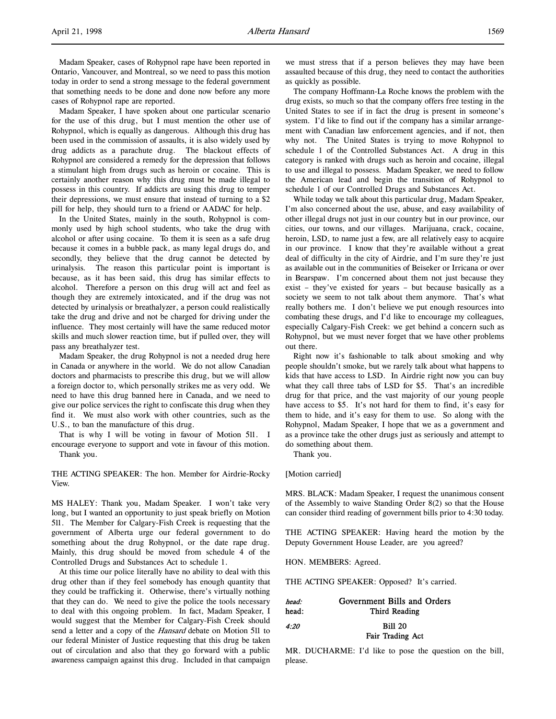Madam Speaker, I have spoken about one particular scenario for the use of this drug, but I must mention the other use of Rohypnol, which is equally as dangerous. Although this drug has been used in the commission of assaults, it is also widely used by drug addicts as a parachute drug. The blackout effects of Rohypnol are considered a remedy for the depression that follows a stimulant high from drugs such as heroin or cocaine. This is certainly another reason why this drug must be made illegal to possess in this country. If addicts are using this drug to temper their depressions, we must ensure that instead of turning to a \$2 pill for help, they should turn to a friend or AADAC for help.

In the United States, mainly in the south, Rohypnol is commonly used by high school students, who take the drug with alcohol or after using cocaine. To them it is seen as a safe drug because it comes in a bubble pack, as many legal drugs do, and secondly, they believe that the drug cannot be detected by urinalysis. The reason this particular point is important is because, as it has been said, this drug has similar effects to alcohol. Therefore a person on this drug will act and feel as though they are extremely intoxicated, and if the drug was not detected by urinalysis or breathalyzer, a person could realistically take the drug and drive and not be charged for driving under the influence. They most certainly will have the same reduced motor skills and much slower reaction time, but if pulled over, they will pass any breathalyzer test.

Madam Speaker, the drug Rohypnol is not a needed drug here in Canada or anywhere in the world. We do not allow Canadian doctors and pharmacists to prescribe this drug, but we will allow a foreign doctor to, which personally strikes me as very odd. We need to have this drug banned here in Canada, and we need to give our police services the right to confiscate this drug when they find it. We must also work with other countries, such as the U.S., to ban the manufacture of this drug.

That is why I will be voting in favour of Motion 511. I encourage everyone to support and vote in favour of this motion. Thank you.

THE ACTING SPEAKER: The hon. Member for Airdrie-Rocky View.

MS HALEY: Thank you, Madam Speaker. I won't take very long, but I wanted an opportunity to just speak briefly on Motion 511. The Member for Calgary-Fish Creek is requesting that the government of Alberta urge our federal government to do something about the drug Rohypnol, or the date rape drug. Mainly, this drug should be moved from schedule 4 of the Controlled Drugs and Substances Act to schedule 1.

At this time our police literally have no ability to deal with this drug other than if they feel somebody has enough quantity that they could be trafficking it. Otherwise, there's virtually nothing that they can do. We need to give the police the tools necessary to deal with this ongoing problem. In fact, Madam Speaker, I would suggest that the Member for Calgary-Fish Creek should send a letter and a copy of the Hansard debate on Motion 511 to our federal Minister of Justice requesting that this drug be taken out of circulation and also that they go forward with a public awareness campaign against this drug. Included in that campaign

we must stress that if a person believes they may have been assaulted because of this drug, they need to contact the authorities as quickly as possible.

The company Hoffmann-La Roche knows the problem with the drug exists, so much so that the company offers free testing in the United States to see if in fact the drug is present in someone's system. I'd like to find out if the company has a similar arrangement with Canadian law enforcement agencies, and if not, then why not. The United States is trying to move Rohypnol to schedule 1 of the Controlled Substances Act. A drug in this category is ranked with drugs such as heroin and cocaine, illegal to use and illegal to possess. Madam Speaker, we need to follow the American lead and begin the transition of Rohypnol to schedule 1 of our Controlled Drugs and Substances Act.

While today we talk about this particular drug, Madam Speaker, I'm also concerned about the use, abuse, and easy availability of other illegal drugs not just in our country but in our province, our cities, our towns, and our villages. Marijuana, crack, cocaine, heroin, LSD, to name just a few, are all relatively easy to acquire in our province. I know that they're available without a great deal of difficulty in the city of Airdrie, and I'm sure they're just as available out in the communities of Beiseker or Irricana or over in Bearspaw. I'm concerned about them not just because they exist – they've existed for years – but because basically as a society we seem to not talk about them anymore. That's what really bothers me. I don't believe we put enough resources into combating these drugs, and I'd like to encourage my colleagues, especially Calgary-Fish Creek: we get behind a concern such as Rohypnol, but we must never forget that we have other problems out there.

Right now it's fashionable to talk about smoking and why people shouldn't smoke, but we rarely talk about what happens to kids that have access to LSD. In Airdrie right now you can buy what they call three tabs of LSD for \$5. That's an incredible drug for that price, and the vast majority of our young people have access to \$5. It's not hard for them to find, it's easy for them to hide, and it's easy for them to use. So along with the Rohypnol, Madam Speaker, I hope that we as a government and as a province take the other drugs just as seriously and attempt to do something about them.

Thank you.

[Motion carried]

MRS. BLACK: Madam Speaker, I request the unanimous consent of the Assembly to waive Standing Order 8(2) so that the House can consider third reading of government bills prior to 4:30 today.

THE ACTING SPEAKER: Having heard the motion by the Deputy Government House Leader, are you agreed?

HON. MEMBERS: Agreed.

THE ACTING SPEAKER: Opposed? It's carried.

| head: | Government Bills and Orders |
|-------|-----------------------------|
| head: | Third Reading               |
| 4:20  | <b>Bill 20</b>              |
|       | Fair Trading Act            |

MR. DUCHARME: I'd like to pose the question on the bill, please.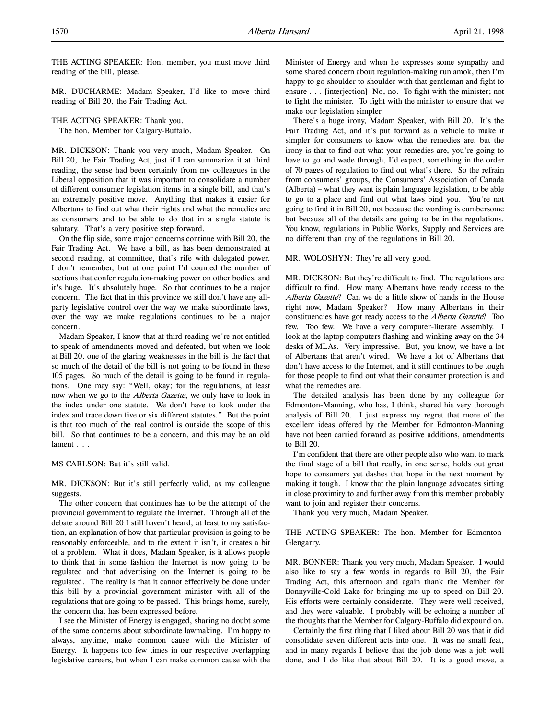THE ACTING SPEAKER: Hon. member, you must move third reading of the bill, please.

MR. DUCHARME: Madam Speaker, I'd like to move third reading of Bill 20, the Fair Trading Act.

THE ACTING SPEAKER: Thank you.

The hon. Member for Calgary-Buffalo.

MR. DICKSON: Thank you very much, Madam Speaker. On Bill 20, the Fair Trading Act, just if I can summarize it at third reading, the sense had been certainly from my colleagues in the Liberal opposition that it was important to consolidate a number of different consumer legislation items in a single bill, and that's an extremely positive move. Anything that makes it easier for Albertans to find out what their rights and what the remedies are as consumers and to be able to do that in a single statute is salutary. That's a very positive step forward.

On the flip side, some major concerns continue with Bill 20, the Fair Trading Act. We have a bill, as has been demonstrated at second reading, at committee, that's rife with delegated power. I don't remember, but at one point I'd counted the number of sections that confer regulation-making power on other bodies, and it's huge. It's absolutely huge. So that continues to be a major concern. The fact that in this province we still don't have any allparty legislative control over the way we make subordinate laws, over the way we make regulations continues to be a major concern.

Madam Speaker, I know that at third reading we're not entitled to speak of amendments moved and defeated, but when we look at Bill 20, one of the glaring weaknesses in the bill is the fact that so much of the detail of the bill is not going to be found in these 105 pages. So much of the detail is going to be found in regulations. One may say: "Well, okay; for the regulations, at least now when we go to the *Alberta Gazette*, we only have to look in the index under one statute. We don't have to look under the index and trace down five or six different statutes." But the point is that too much of the real control is outside the scope of this bill. So that continues to be a concern, and this may be an old lament . . .

MS CARLSON: But it's still valid.

MR. DICKSON: But it's still perfectly valid, as my colleague suggests.

The other concern that continues has to be the attempt of the provincial government to regulate the Internet. Through all of the debate around Bill 20 I still haven't heard, at least to my satisfaction, an explanation of how that particular provision is going to be reasonably enforceable, and to the extent it isn't, it creates a bit of a problem. What it does, Madam Speaker, is it allows people to think that in some fashion the Internet is now going to be regulated and that advertising on the Internet is going to be regulated. The reality is that it cannot effectively be done under this bill by a provincial government minister with all of the regulations that are going to be passed. This brings home, surely, the concern that has been expressed before.

I see the Minister of Energy is engaged, sharing no doubt some of the same concerns about subordinate lawmaking. I'm happy to always, anytime, make common cause with the Minister of Energy. It happens too few times in our respective overlapping legislative careers, but when I can make common cause with the

Minister of Energy and when he expresses some sympathy and some shared concern about regulation-making run amok, then I'm happy to go shoulder to shoulder with that gentleman and fight to ensure . . . [interjection] No, no. To fight with the minister; not to fight the minister. To fight with the minister to ensure that we make our legislation simpler.

There's a huge irony, Madam Speaker, with Bill 20. It's the Fair Trading Act, and it's put forward as a vehicle to make it simpler for consumers to know what the remedies are, but the irony is that to find out what your remedies are, you're going to have to go and wade through, I'd expect, something in the order of 70 pages of regulation to find out what's there. So the refrain from consumers' groups, the Consumers' Association of Canada (Alberta) – what they want is plain language legislation, to be able to go to a place and find out what laws bind you. You're not going to find it in Bill 20, not because the wording is cumbersome but because all of the details are going to be in the regulations. You know, regulations in Public Works, Supply and Services are no different than any of the regulations in Bill 20.

MR. WOLOSHYN: They're all very good.

MR. DICKSON: But they're difficult to find. The regulations are difficult to find. How many Albertans have ready access to the Alberta Gazette? Can we do a little show of hands in the House right now, Madam Speaker? How many Albertans in their constituencies have got ready access to the Alberta Gazette? Too few. Too few. We have a very computer-literate Assembly. I look at the laptop computers flashing and winking away on the 34 desks of MLAs. Very impressive. But, you know, we have a lot of Albertans that aren't wired. We have a lot of Albertans that don't have access to the Internet, and it still continues to be tough for those people to find out what their consumer protection is and what the remedies are.

The detailed analysis has been done by my colleague for Edmonton-Manning, who has, I think, shared his very thorough analysis of Bill 20. I just express my regret that more of the excellent ideas offered by the Member for Edmonton-Manning have not been carried forward as positive additions, amendments to Bill 20.

I'm confident that there are other people also who want to mark the final stage of a bill that really, in one sense, holds out great hope to consumers yet dashes that hope in the next moment by making it tough. I know that the plain language advocates sitting in close proximity to and further away from this member probably want to join and register their concerns.

Thank you very much, Madam Speaker.

THE ACTING SPEAKER: The hon. Member for Edmonton-Glengarry.

MR. BONNER: Thank you very much, Madam Speaker. I would also like to say a few words in regards to Bill 20, the Fair Trading Act, this afternoon and again thank the Member for Bonnyville-Cold Lake for bringing me up to speed on Bill 20. His efforts were certainly considerate. They were well received, and they were valuable. I probably will be echoing a number of the thoughts that the Member for Calgary-Buffalo did expound on.

Certainly the first thing that I liked about Bill 20 was that it did consolidate seven different acts into one. It was no small feat, and in many regards I believe that the job done was a job well done, and I do like that about Bill 20. It is a good move, a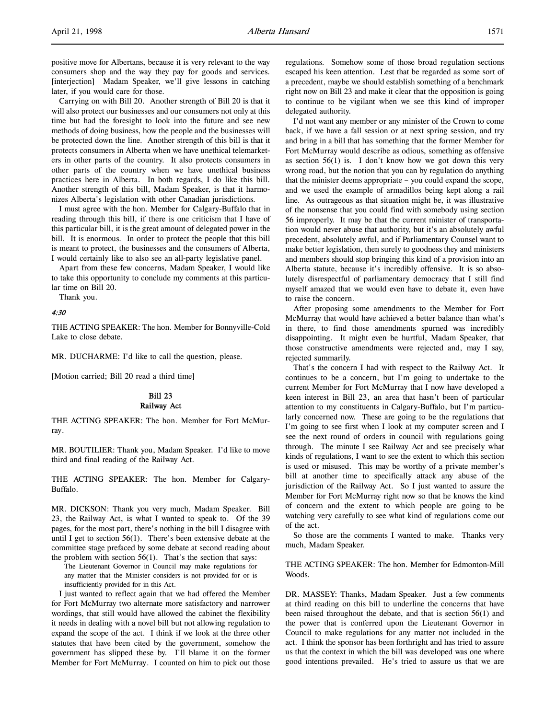positive move for Albertans, because it is very relevant to the way consumers shop and the way they pay for goods and services. [interjection] Madam Speaker, we'll give lessons in catching later, if you would care for those.

Carrying on with Bill 20. Another strength of Bill 20 is that it will also protect our businesses and our consumers not only at this time but had the foresight to look into the future and see new methods of doing business, how the people and the businesses will be protected down the line. Another strength of this bill is that it protects consumers in Alberta when we have unethical telemarketers in other parts of the country. It also protects consumers in other parts of the country when we have unethical business practices here in Alberta. In both regards, I do like this bill. Another strength of this bill, Madam Speaker, is that it harmonizes Alberta's legislation with other Canadian jurisdictions.

I must agree with the hon. Member for Calgary-Buffalo that in reading through this bill, if there is one criticism that I have of this particular bill, it is the great amount of delegated power in the bill. It is enormous. In order to protect the people that this bill is meant to protect, the businesses and the consumers of Alberta, I would certainly like to also see an all-party legislative panel.

Apart from these few concerns, Madam Speaker, I would like to take this opportunity to conclude my comments at this particular time on Bill 20.

Thank you.

#### 4:30

THE ACTING SPEAKER: The hon. Member for Bonnyville-Cold Lake to close debate.

MR. DUCHARME: I'd like to call the question, please.

[Motion carried; Bill 20 read a third time]

# Bill 23 Railway Act

THE ACTING SPEAKER: The hon. Member for Fort McMurray.

MR. BOUTILIER: Thank you, Madam Speaker. I'd like to move third and final reading of the Railway Act.

THE ACTING SPEAKER: The hon. Member for Calgary-Buffalo.

MR. DICKSON: Thank you very much, Madam Speaker. Bill 23, the Railway Act, is what I wanted to speak to. Of the 39 pages, for the most part, there's nothing in the bill I disagree with until I get to section 56(1). There's been extensive debate at the committee stage prefaced by some debate at second reading about the problem with section 56(1). That's the section that says:

The Lieutenant Governor in Council may make regulations for any matter that the Minister considers is not provided for or is insufficiently provided for in this Act.

I just wanted to reflect again that we had offered the Member for Fort McMurray two alternate more satisfactory and narrower wordings, that still would have allowed the cabinet the flexibility it needs in dealing with a novel bill but not allowing regulation to expand the scope of the act. I think if we look at the three other statutes that have been cited by the government, somehow the government has slipped these by. I'll blame it on the former Member for Fort McMurray. I counted on him to pick out those

regulations. Somehow some of those broad regulation sections escaped his keen attention. Lest that be regarded as some sort of a precedent, maybe we should establish something of a benchmark right now on Bill 23 and make it clear that the opposition is going to continue to be vigilant when we see this kind of improper delegated authority.

I'd not want any member or any minister of the Crown to come back, if we have a fall session or at next spring session, and try and bring in a bill that has something that the former Member for Fort McMurray would describe as odious, something as offensive as section  $56(1)$  is. I don't know how we got down this very wrong road, but the notion that you can by regulation do anything that the minister deems appropriate – you could expand the scope, and we used the example of armadillos being kept along a rail line. As outrageous as that situation might be, it was illustrative of the nonsense that you could find with somebody using section 56 improperly. It may be that the current minister of transportation would never abuse that authority, but it's an absolutely awful precedent, absolutely awful, and if Parliamentary Counsel want to make better legislation, then surely to goodness they and ministers and members should stop bringing this kind of a provision into an Alberta statute, because it's incredibly offensive. It is so absolutely disrespectful of parliamentary democracy that I still find myself amazed that we would even have to debate it, even have to raise the concern.

After proposing some amendments to the Member for Fort McMurray that would have achieved a better balance than what's in there, to find those amendments spurned was incredibly disappointing. It might even be hurtful, Madam Speaker, that those constructive amendments were rejected and, may I say, rejected summarily.

That's the concern I had with respect to the Railway Act. It continues to be a concern, but I'm going to undertake to the current Member for Fort McMurray that I now have developed a keen interest in Bill 23, an area that hasn't been of particular attention to my constituents in Calgary-Buffalo, but I'm particularly concerned now. These are going to be the regulations that I'm going to see first when I look at my computer screen and I see the next round of orders in council with regulations going through. The minute I see Railway Act and see precisely what kinds of regulations, I want to see the extent to which this section is used or misused. This may be worthy of a private member's bill at another time to specifically attack any abuse of the jurisdiction of the Railway Act. So I just wanted to assure the Member for Fort McMurray right now so that he knows the kind of concern and the extent to which people are going to be watching very carefully to see what kind of regulations come out of the act.

So those are the comments I wanted to make. Thanks very much, Madam Speaker.

# THE ACTING SPEAKER: The hon. Member for Edmonton-Mill Woods.

DR. MASSEY: Thanks, Madam Speaker. Just a few comments at third reading on this bill to underline the concerns that have been raised throughout the debate, and that is section 56(1) and the power that is conferred upon the Lieutenant Governor in Council to make regulations for any matter not included in the act. I think the sponsor has been forthright and has tried to assure us that the context in which the bill was developed was one where good intentions prevailed. He's tried to assure us that we are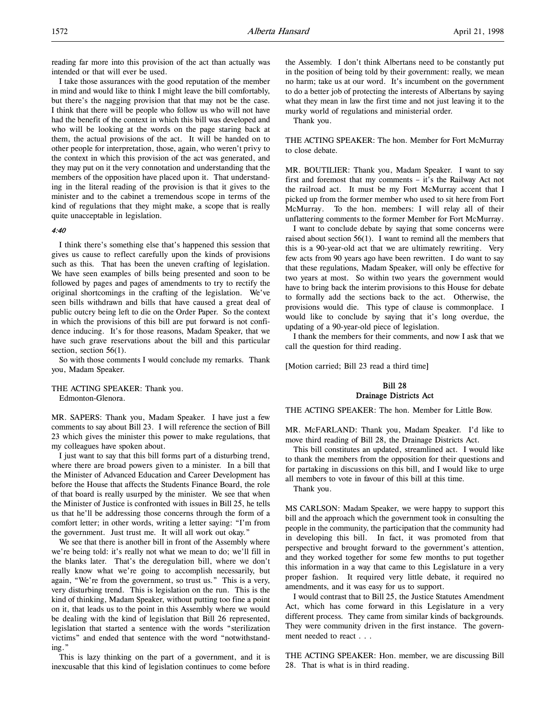reading far more into this provision of the act than actually was intended or that will ever be used.

I take those assurances with the good reputation of the member in mind and would like to think I might leave the bill comfortably, but there's the nagging provision that that may not be the case. I think that there will be people who follow us who will not have had the benefit of the context in which this bill was developed and who will be looking at the words on the page staring back at them, the actual provisions of the act. It will be handed on to other people for interpretation, those, again, who weren't privy to the context in which this provision of the act was generated, and they may put on it the very connotation and understanding that the members of the opposition have placed upon it. That understanding in the literal reading of the provision is that it gives to the minister and to the cabinet a tremendous scope in terms of the kind of regulations that they might make, a scope that is really quite unacceptable in legislation.

# 4:40

I think there's something else that's happened this session that gives us cause to reflect carefully upon the kinds of provisions such as this. That has been the uneven crafting of legislation. We have seen examples of bills being presented and soon to be followed by pages and pages of amendments to try to rectify the original shortcomings in the crafting of the legislation. We've seen bills withdrawn and bills that have caused a great deal of public outcry being left to die on the Order Paper. So the context in which the provisions of this bill are put forward is not confidence inducing. It's for those reasons, Madam Speaker, that we have such grave reservations about the bill and this particular section, section 56(1).

So with those comments I would conclude my remarks. Thank you, Madam Speaker.

THE ACTING SPEAKER: Thank you. Edmonton-Glenora.

MR. SAPERS: Thank you, Madam Speaker. I have just a few comments to say about Bill 23. I will reference the section of Bill 23 which gives the minister this power to make regulations, that my colleagues have spoken about.

I just want to say that this bill forms part of a disturbing trend, where there are broad powers given to a minister. In a bill that the Minister of Advanced Education and Career Development has before the House that affects the Students Finance Board, the role of that board is really usurped by the minister. We see that when the Minister of Justice is confronted with issues in Bill 25, he tells us that he'll be addressing those concerns through the form of a comfort letter; in other words, writing a letter saying: "I'm from the government. Just trust me. It will all work out okay."

We see that there is another bill in front of the Assembly where we're being told: it's really not what we mean to do; we'll fill in the blanks later. That's the deregulation bill, where we don't really know what we're going to accomplish necessarily, but again, "We're from the government, so trust us." This is a very, very disturbing trend. This is legislation on the run. This is the kind of thinking, Madam Speaker, without putting too fine a point on it, that leads us to the point in this Assembly where we would be dealing with the kind of legislation that Bill 26 represented, legislation that started a sentence with the words "sterilization victims" and ended that sentence with the word "notwithstanding."

This is lazy thinking on the part of a government, and it is inexcusable that this kind of legislation continues to come before

the Assembly. I don't think Albertans need to be constantly put in the position of being told by their government: really, we mean no harm; take us at our word. It's incumbent on the government to do a better job of protecting the interests of Albertans by saying what they mean in law the first time and not just leaving it to the murky world of regulations and ministerial order.

Thank you.

THE ACTING SPEAKER: The hon. Member for Fort McMurray to close debate.

MR. BOUTILIER: Thank you, Madam Speaker. I want to say first and foremost that my comments – it's the Railway Act not the railroad act. It must be my Fort McMurray accent that I picked up from the former member who used to sit here from Fort McMurray. To the hon. members: I will relay all of their unflattering comments to the former Member for Fort McMurray.

I want to conclude debate by saying that some concerns were raised about section 56(1). I want to remind all the members that this is a 90-year-old act that we are ultimately rewriting. Very few acts from 90 years ago have been rewritten. I do want to say that these regulations, Madam Speaker, will only be effective for two years at most. So within two years the government would have to bring back the interim provisions to this House for debate to formally add the sections back to the act. Otherwise, the provisions would die. This type of clause is commonplace. I would like to conclude by saying that it's long overdue, the updating of a 90-year-old piece of legislation.

I thank the members for their comments, and now I ask that we call the question for third reading.

[Motion carried; Bill 23 read a third time]

# Bill 28 Drainage Districts Act

THE ACTING SPEAKER: The hon. Member for Little Bow.

MR. McFARLAND: Thank you, Madam Speaker. I'd like to move third reading of Bill 28, the Drainage Districts Act.

This bill constitutes an updated, streamlined act. I would like to thank the members from the opposition for their questions and for partaking in discussions on this bill, and I would like to urge all members to vote in favour of this bill at this time.

Thank you.

MS CARLSON: Madam Speaker, we were happy to support this bill and the approach which the government took in consulting the people in the community, the participation that the community had in developing this bill. In fact, it was promoted from that perspective and brought forward to the government's attention, and they worked together for some few months to put together this information in a way that came to this Legislature in a very proper fashion. It required very little debate, it required no amendments, and it was easy for us to support.

I would contrast that to Bill 25, the Justice Statutes Amendment Act, which has come forward in this Legislature in a very different process. They came from similar kinds of backgrounds. They were community driven in the first instance. The government needed to react . . .

THE ACTING SPEAKER: Hon. member, we are discussing Bill 28. That is what is in third reading.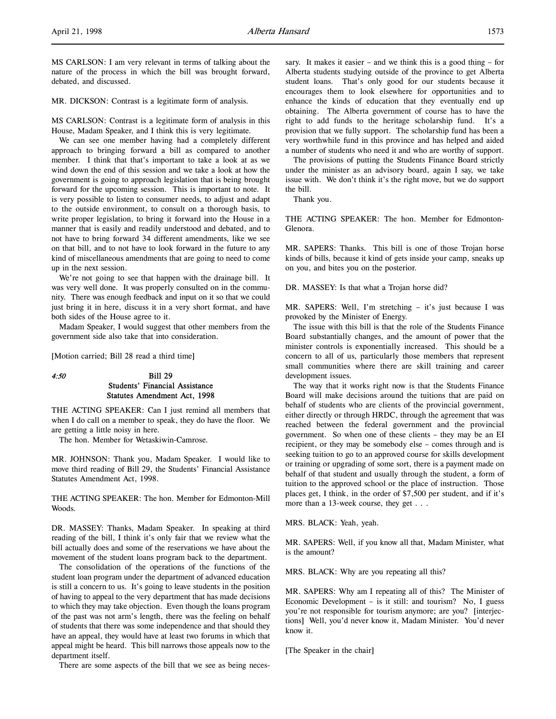MS CARLSON: I am very relevant in terms of talking about the nature of the process in which the bill was brought forward, debated, and discussed.

MR. DICKSON: Contrast is a legitimate form of analysis.

MS CARLSON: Contrast is a legitimate form of analysis in this House, Madam Speaker, and I think this is very legitimate.

We can see one member having had a completely different approach to bringing forward a bill as compared to another member. I think that that's important to take a look at as we wind down the end of this session and we take a look at how the government is going to approach legislation that is being brought forward for the upcoming session. This is important to note. It is very possible to listen to consumer needs, to adjust and adapt to the outside environment, to consult on a thorough basis, to write proper legislation, to bring it forward into the House in a manner that is easily and readily understood and debated, and to not have to bring forward 34 different amendments, like we see on that bill, and to not have to look forward in the future to any kind of miscellaneous amendments that are going to need to come up in the next session.

We're not going to see that happen with the drainage bill. It was very well done. It was properly consulted on in the community. There was enough feedback and input on it so that we could just bring it in here, discuss it in a very short format, and have both sides of the House agree to it.

Madam Speaker, I would suggest that other members from the government side also take that into consideration.

[Motion carried; Bill 28 read a third time]

# 4:50 Bill 29 Students' Financial Assistance Statutes Amendment Act, 1998

THE ACTING SPEAKER: Can I just remind all members that when I do call on a member to speak, they do have the floor. We are getting a little noisy in here.

The hon. Member for Wetaskiwin-Camrose.

MR. JOHNSON: Thank you, Madam Speaker. I would like to move third reading of Bill 29, the Students' Financial Assistance Statutes Amendment Act, 1998.

THE ACTING SPEAKER: The hon. Member for Edmonton-Mill Woods.

DR. MASSEY: Thanks, Madam Speaker. In speaking at third reading of the bill, I think it's only fair that we review what the bill actually does and some of the reservations we have about the movement of the student loans program back to the department.

The consolidation of the operations of the functions of the student loan program under the department of advanced education is still a concern to us. It's going to leave students in the position of having to appeal to the very department that has made decisions to which they may take objection. Even though the loans program of the past was not arm's length, there was the feeling on behalf of students that there was some independence and that should they have an appeal, they would have at least two forums in which that appeal might be heard. This bill narrows those appeals now to the department itself.

There are some aspects of the bill that we see as being neces-

sary. It makes it easier – and we think this is a good thing – for Alberta students studying outside of the province to get Alberta student loans. That's only good for our students because it encourages them to look elsewhere for opportunities and to enhance the kinds of education that they eventually end up obtaining. The Alberta government of course has to have the right to add funds to the heritage scholarship fund. It's a provision that we fully support. The scholarship fund has been a very worthwhile fund in this province and has helped and aided a number of students who need it and who are worthy of support.

The provisions of putting the Students Finance Board strictly under the minister as an advisory board, again I say, we take issue with. We don't think it's the right move, but we do support the bill.

Thank you.

THE ACTING SPEAKER: The hon. Member for Edmonton-Glenora.

MR. SAPERS: Thanks. This bill is one of those Trojan horse kinds of bills, because it kind of gets inside your camp, sneaks up on you, and bites you on the posterior.

DR. MASSEY: Is that what a Trojan horse did?

MR. SAPERS: Well, I'm stretching – it's just because I was provoked by the Minister of Energy.

The issue with this bill is that the role of the Students Finance Board substantially changes, and the amount of power that the minister controls is exponentially increased. This should be a concern to all of us, particularly those members that represent small communities where there are skill training and career development issues.

The way that it works right now is that the Students Finance Board will make decisions around the tuitions that are paid on behalf of students who are clients of the provincial government, either directly or through HRDC, through the agreement that was reached between the federal government and the provincial government. So when one of these clients – they may be an EI recipient, or they may be somebody else – comes through and is seeking tuition to go to an approved course for skills development or training or upgrading of some sort, there is a payment made on behalf of that student and usually through the student, a form of tuition to the approved school or the place of instruction. Those places get, I think, in the order of \$7,500 per student, and if it's more than a 13-week course, they get . . .

MRS. BLACK: Yeah, yeah.

MR. SAPERS: Well, if you know all that, Madam Minister, what is the amount?

MRS. BLACK: Why are you repeating all this?

MR. SAPERS: Why am I repeating all of this? The Minister of Economic Development – is it still: and tourism? No, I guess you're not responsible for tourism anymore; are you? [interjections] Well, you'd never know it, Madam Minister. You'd never know it.

[The Speaker in the chair]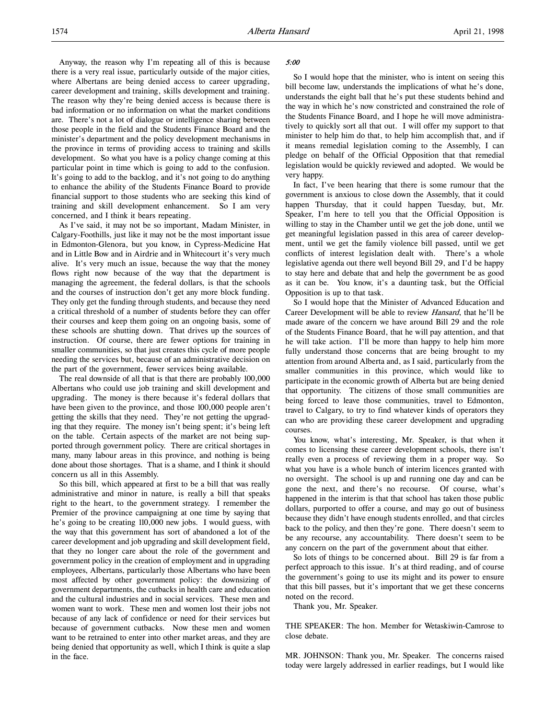Anyway, the reason why I'm repeating all of this is because there is a very real issue, particularly outside of the major cities, where Albertans are being denied access to career upgrading, career development and training, skills development and training. The reason why they're being denied access is because there is bad information or no information on what the market conditions are. There's not a lot of dialogue or intelligence sharing between those people in the field and the Students Finance Board and the minister's department and the policy development mechanisms in the province in terms of providing access to training and skills development. So what you have is a policy change coming at this particular point in time which is going to add to the confusion. It's going to add to the backlog, and it's not going to do anything to enhance the ability of the Students Finance Board to provide financial support to those students who are seeking this kind of training and skill development enhancement. So I am very concerned, and I think it bears repeating.

As I've said, it may not be so important, Madam Minister, in Calgary-Foothills, just like it may not be the most important issue in Edmonton-Glenora, but you know, in Cypress-Medicine Hat and in Little Bow and in Airdrie and in Whitecourt it's very much alive. It's very much an issue, because the way that the money flows right now because of the way that the department is managing the agreement, the federal dollars, is that the schools and the courses of instruction don't get any more block funding. They only get the funding through students, and because they need a critical threshold of a number of students before they can offer their courses and keep them going on an ongoing basis, some of these schools are shutting down. That drives up the sources of instruction. Of course, there are fewer options for training in smaller communities, so that just creates this cycle of more people needing the services but, because of an administrative decision on the part of the government, fewer services being available.

The real downside of all that is that there are probably 100,000 Albertans who could use job training and skill development and upgrading. The money is there because it's federal dollars that have been given to the province, and those 100,000 people aren't getting the skills that they need. They're not getting the upgrading that they require. The money isn't being spent; it's being left on the table. Certain aspects of the market are not being supported through government policy. There are critical shortages in many, many labour areas in this province, and nothing is being done about those shortages. That is a shame, and I think it should concern us all in this Assembly.

So this bill, which appeared at first to be a bill that was really administrative and minor in nature, is really a bill that speaks right to the heart, to the government strategy. I remember the Premier of the province campaigning at one time by saying that he's going to be creating 110,000 new jobs. I would guess, with the way that this government has sort of abandoned a lot of the career development and job upgrading and skill development field, that they no longer care about the role of the government and government policy in the creation of employment and in upgrading employees, Albertans, particularly those Albertans who have been most affected by other government policy: the downsizing of government departments, the cutbacks in health care and education and the cultural industries and in social services. These men and women want to work. These men and women lost their jobs not because of any lack of confidence or need for their services but because of government cutbacks. Now these men and women want to be retrained to enter into other market areas, and they are being denied that opportunity as well, which I think is quite a slap in the face.

#### 5:00

So I would hope that the minister, who is intent on seeing this bill become law, understands the implications of what he's done, understands the eight ball that he's put these students behind and the way in which he's now constricted and constrained the role of the Students Finance Board, and I hope he will move administratively to quickly sort all that out. I will offer my support to that minister to help him do that, to help him accomplish that, and if it means remedial legislation coming to the Assembly, I can pledge on behalf of the Official Opposition that that remedial legislation would be quickly reviewed and adopted. We would be very happy.

In fact, I've been hearing that there is some rumour that the government is anxious to close down the Assembly, that it could happen Thursday, that it could happen Tuesday, but, Mr. Speaker, I'm here to tell you that the Official Opposition is willing to stay in the Chamber until we get the job done, until we get meaningful legislation passed in this area of career development, until we get the family violence bill passed, until we get conflicts of interest legislation dealt with. There's a whole legislative agenda out there well beyond Bill 29, and I'd be happy to stay here and debate that and help the government be as good as it can be. You know, it's a daunting task, but the Official Opposition is up to that task.

So I would hope that the Minister of Advanced Education and Career Development will be able to review Hansard, that he'll be made aware of the concern we have around Bill 29 and the role of the Students Finance Board, that he will pay attention, and that he will take action. I'll be more than happy to help him more fully understand those concerns that are being brought to my attention from around Alberta and, as I said, particularly from the smaller communities in this province, which would like to participate in the economic growth of Alberta but are being denied that opportunity. The citizens of those small communities are being forced to leave those communities, travel to Edmonton, travel to Calgary, to try to find whatever kinds of operators they can who are providing these career development and upgrading courses.

You know, what's interesting, Mr. Speaker, is that when it comes to licensing these career development schools, there isn't really even a process of reviewing them in a proper way. So what you have is a whole bunch of interim licences granted with no oversight. The school is up and running one day and can be gone the next, and there's no recourse. Of course, what's happened in the interim is that that school has taken those public dollars, purported to offer a course, and may go out of business because they didn't have enough students enrolled, and that circles back to the policy, and then they're gone. There doesn't seem to be any recourse, any accountability. There doesn't seem to be any concern on the part of the government about that either.

So lots of things to be concerned about. Bill 29 is far from a perfect approach to this issue. It's at third reading, and of course the government's going to use its might and its power to ensure that this bill passes, but it's important that we get these concerns noted on the record.

Thank you, Mr. Speaker.

THE SPEAKER: The hon. Member for Wetaskiwin-Camrose to close debate.

MR. JOHNSON: Thank you, Mr. Speaker. The concerns raised today were largely addressed in earlier readings, but I would like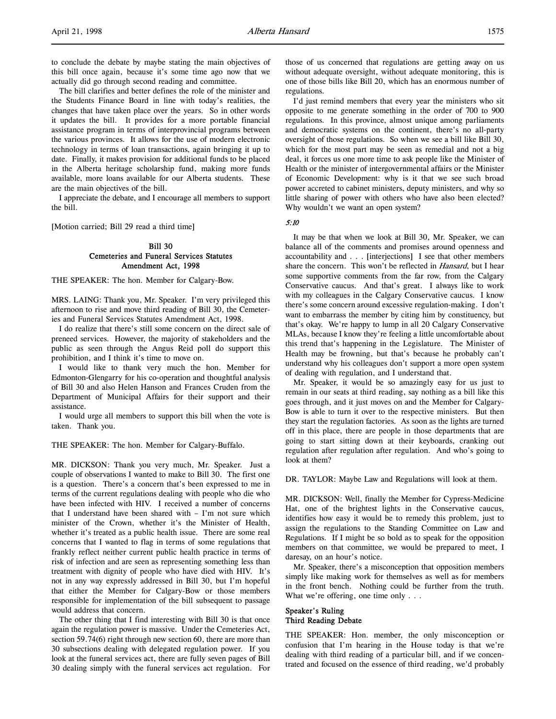to conclude the debate by maybe stating the main objectives of this bill once again, because it's some time ago now that we actually did go through second reading and committee.

The bill clarifies and better defines the role of the minister and the Students Finance Board in line with today's realities, the changes that have taken place over the years. So in other words it updates the bill. It provides for a more portable financial assistance program in terms of interprovincial programs between the various provinces. It allows for the use of modern electronic technology in terms of loan transactions, again bringing it up to date. Finally, it makes provision for additional funds to be placed in the Alberta heritage scholarship fund, making more funds available, more loans available for our Alberta students. These are the main objectives of the bill.

I appreciate the debate, and I encourage all members to support the bill.

[Motion carried; Bill 29 read a third time]

# Bill 30 Cemeteries and Funeral Services Statutes Amendment Act, 1998

THE SPEAKER: The hon. Member for Calgary-Bow.

MRS. LAING: Thank you, Mr. Speaker. I'm very privileged this afternoon to rise and move third reading of Bill 30, the Cemeteries and Funeral Services Statutes Amendment Act, 1998.

I do realize that there's still some concern on the direct sale of preneed services. However, the majority of stakeholders and the public as seen through the Angus Reid poll do support this prohibition, and I think it's time to move on.

I would like to thank very much the hon. Member for Edmonton-Glengarry for his co-operation and thoughtful analysis of Bill 30 and also Helen Hanson and Frances Cruden from the Department of Municipal Affairs for their support and their assistance.

I would urge all members to support this bill when the vote is taken. Thank you.

THE SPEAKER: The hon. Member for Calgary-Buffalo.

MR. DICKSON: Thank you very much, Mr. Speaker. Just a couple of observations I wanted to make to Bill 30. The first one is a question. There's a concern that's been expressed to me in terms of the current regulations dealing with people who die who have been infected with HIV. I received a number of concerns that I understand have been shared with – I'm not sure which minister of the Crown, whether it's the Minister of Health, whether it's treated as a public health issue. There are some real concerns that I wanted to flag in terms of some regulations that frankly reflect neither current public health practice in terms of risk of infection and are seen as representing something less than treatment with dignity of people who have died with HIV. It's not in any way expressly addressed in Bill 30, but I'm hopeful that either the Member for Calgary-Bow or those members responsible for implementation of the bill subsequent to passage would address that concern.

The other thing that I find interesting with Bill 30 is that once again the regulation power is massive. Under the Cemeteries Act, section 59.74(6) right through new section 60, there are more than 30 subsections dealing with delegated regulation power. If you look at the funeral services act, there are fully seven pages of Bill 30 dealing simply with the funeral services act regulation. For

those of us concerned that regulations are getting away on us without adequate oversight, without adequate monitoring, this is one of those bills like Bill 20, which has an enormous number of regulations.

I'd just remind members that every year the ministers who sit opposite to me generate something in the order of 700 to 900 regulations. In this province, almost unique among parliaments and democratic systems on the continent, there's no all-party oversight of those regulations. So when we see a bill like Bill 30, which for the most part may be seen as remedial and not a big deal, it forces us one more time to ask people like the Minister of Health or the minister of intergovernmental affairs or the Minister of Economic Development: why is it that we see such broad power accreted to cabinet ministers, deputy ministers, and why so little sharing of power with others who have also been elected? Why wouldn't we want an open system?

5:10

It may be that when we look at Bill 30, Mr. Speaker, we can balance all of the comments and promises around openness and accountability and . . . [interjections] I see that other members share the concern. This won't be reflected in *Hansard*, but I hear some supportive comments from the far row, from the Calgary Conservative caucus. And that's great. I always like to work with my colleagues in the Calgary Conservative caucus. I know there's some concern around excessive regulation-making. I don't want to embarrass the member by citing him by constituency, but that's okay. We're happy to lump in all 20 Calgary Conservative MLAs, because I know they're feeling a little uncomfortable about this trend that's happening in the Legislature. The Minister of Health may be frowning, but that's because he probably can't understand why his colleagues don't support a more open system of dealing with regulation, and I understand that.

Mr. Speaker, it would be so amazingly easy for us just to remain in our seats at third reading, say nothing as a bill like this goes through, and it just moves on and the Member for Calgary-Bow is able to turn it over to the respective ministers. But then they start the regulation factories. As soon as the lights are turned off in this place, there are people in those departments that are going to start sitting down at their keyboards, cranking out regulation after regulation after regulation. And who's going to look at them?

DR. TAYLOR: Maybe Law and Regulations will look at them.

MR. DICKSON: Well, finally the Member for Cypress-Medicine Hat, one of the brightest lights in the Conservative caucus, identifies how easy it would be to remedy this problem, just to assign the regulations to the Standing Committee on Law and Regulations. If I might be so bold as to speak for the opposition members on that committee, we would be prepared to meet, I daresay, on an hour's notice.

Mr. Speaker, there's a misconception that opposition members simply like making work for themselves as well as for members in the front bench. Nothing could be further from the truth. What we're offering, one time only . . .

# Speaker's Ruling Third Reading Debate

THE SPEAKER: Hon. member, the only misconception or confusion that I'm hearing in the House today is that we're dealing with third reading of a particular bill, and if we concentrated and focused on the essence of third reading, we'd probably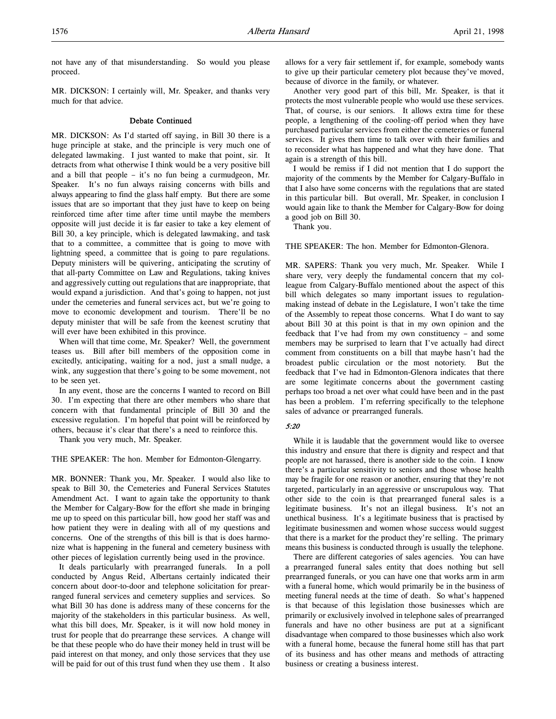not have any of that misunderstanding. So would you please proceed.

MR. DICKSON: I certainly will, Mr. Speaker, and thanks very much for that advice.

# Debate Continued

MR. DICKSON: As I'd started off saying, in Bill 30 there is a huge principle at stake, and the principle is very much one of delegated lawmaking. I just wanted to make that point, sir. It detracts from what otherwise I think would be a very positive bill and a bill that people – it's no fun being a curmudgeon, Mr. Speaker. It's no fun always raising concerns with bills and always appearing to find the glass half empty. But there are some issues that are so important that they just have to keep on being reinforced time after time after time until maybe the members opposite will just decide it is far easier to take a key element of Bill 30, a key principle, which is delegated lawmaking, and task that to a committee, a committee that is going to move with lightning speed, a committee that is going to pare regulations. Deputy ministers will be quivering, anticipating the scrutiny of that all-party Committee on Law and Regulations, taking knives and aggressively cutting out regulations that are inappropriate, that would expand a jurisdiction. And that's going to happen, not just under the cemeteries and funeral services act, but we're going to move to economic development and tourism. There'll be no deputy minister that will be safe from the keenest scrutiny that will ever have been exhibited in this province.

When will that time come, Mr. Speaker? Well, the government teases us. Bill after bill members of the opposition come in excitedly, anticipating, waiting for a nod, just a small nudge, a wink, any suggestion that there's going to be some movement, not to be seen yet.

In any event, those are the concerns I wanted to record on Bill 30. I'm expecting that there are other members who share that concern with that fundamental principle of Bill 30 and the excessive regulation. I'm hopeful that point will be reinforced by others, because it's clear that there's a need to reinforce this.

Thank you very much, Mr. Speaker.

THE SPEAKER: The hon. Member for Edmonton-Glengarry.

MR. BONNER: Thank you, Mr. Speaker. I would also like to speak to Bill 30, the Cemeteries and Funeral Services Statutes Amendment Act. I want to again take the opportunity to thank the Member for Calgary-Bow for the effort she made in bringing me up to speed on this particular bill, how good her staff was and how patient they were in dealing with all of my questions and concerns. One of the strengths of this bill is that is does harmonize what is happening in the funeral and cemetery business with other pieces of legislation currently being used in the province.

It deals particularly with prearranged funerals. In a poll conducted by Angus Reid, Albertans certainly indicated their concern about door-to-door and telephone solicitation for prearranged funeral services and cemetery supplies and services. So what Bill 30 has done is address many of these concerns for the majority of the stakeholders in this particular business. As well, what this bill does, Mr. Speaker, is it will now hold money in trust for people that do prearrange these services. A change will be that these people who do have their money held in trust will be paid interest on that money, and only those services that they use will be paid for out of this trust fund when they use them . It also

allows for a very fair settlement if, for example, somebody wants to give up their particular cemetery plot because they've moved, because of divorce in the family, or whatever.

Another very good part of this bill, Mr. Speaker, is that it protects the most vulnerable people who would use these services. That, of course, is our seniors. It allows extra time for these people, a lengthening of the cooling-off period when they have purchased particular services from either the cemeteries or funeral services. It gives them time to talk over with their families and to reconsider what has happened and what they have done. That again is a strength of this bill.

I would be remiss if I did not mention that I do support the majority of the comments by the Member for Calgary-Buffalo in that I also have some concerns with the regulations that are stated in this particular bill. But overall, Mr. Speaker, in conclusion I would again like to thank the Member for Calgary-Bow for doing a good job on Bill 30.

Thank you.

THE SPEAKER: The hon. Member for Edmonton-Glenora.

MR. SAPERS: Thank you very much, Mr. Speaker. While I share very, very deeply the fundamental concern that my colleague from Calgary-Buffalo mentioned about the aspect of this bill which delegates so many important issues to regulationmaking instead of debate in the Legislature, I won't take the time of the Assembly to repeat those concerns. What I do want to say about Bill 30 at this point is that in my own opinion and the feedback that I've had from my own constituency – and some members may be surprised to learn that I've actually had direct comment from constituents on a bill that maybe hasn't had the broadest public circulation or the most notoriety. But the feedback that I've had in Edmonton-Glenora indicates that there are some legitimate concerns about the government casting perhaps too broad a net over what could have been and in the past has been a problem. I'm referring specifically to the telephone sales of advance or prearranged funerals.

#### 5:20

While it is laudable that the government would like to oversee this industry and ensure that there is dignity and respect and that people are not harassed, there is another side to the coin. I know there's a particular sensitivity to seniors and those whose health may be fragile for one reason or another, ensuring that they're not targeted, particularly in an aggressive or unscrupulous way. That other side to the coin is that prearranged funeral sales is a legitimate business. It's not an illegal business. It's not an unethical business. It's a legitimate business that is practised by legitimate businessmen and women whose success would suggest that there is a market for the product they're selling. The primary means this business is conducted through is usually the telephone.

There are different categories of sales agencies. You can have a prearranged funeral sales entity that does nothing but sell prearranged funerals, or you can have one that works arm in arm with a funeral home, which would primarily be in the business of meeting funeral needs at the time of death. So what's happened is that because of this legislation those businesses which are primarily or exclusively involved in telephone sales of prearranged funerals and have no other business are put at a significant disadvantage when compared to those businesses which also work with a funeral home, because the funeral home still has that part of its business and has other means and methods of attracting business or creating a business interest.